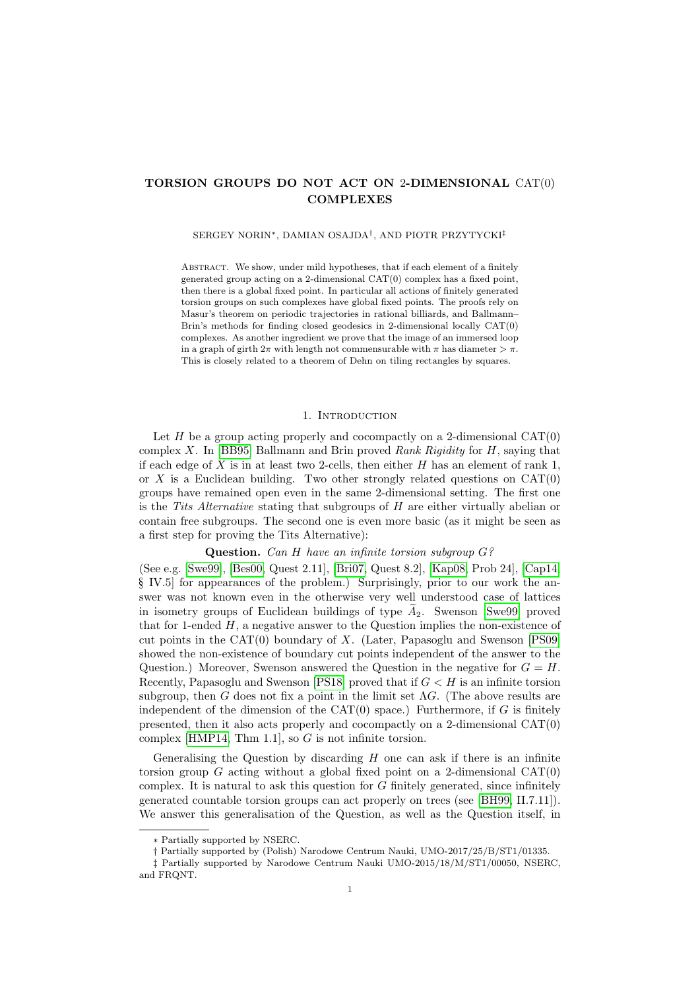# **TORSION GROUPS DO NOT ACT ON** 2**-DIMENSIONAL** CAT(0) **COMPLEXES**

#### SERGEY NORIN∗, DAMIAN OSAJDA† , AND PIOTR PRZYTYCKI‡

ABSTRACT. We show, under mild hypotheses, that if each element of a finitely generated group acting on a 2-dimensional CAT(0) complex has a fixed point, then there is a global fixed point. In particular all actions of finitely generated torsion groups on such complexes have global fixed points. The proofs rely on Masur's theorem on periodic trajectories in rational billiards, and Ballmann– Brin's methods for finding closed geodesics in 2-dimensional locally CAT(0) complexes. As another ingredient we prove that the image of an immersed loop in a graph of girth  $2\pi$  with length not commensurable with  $\pi$  has diameter  $>\pi$ . This is closely related to a theorem of Dehn on tiling rectangles by squares.

## 1. INTRODUCTION

Let  $H$  be a group acting properly and cocompactly on a 2-dimensional CAT $(0)$ complex X. In [\[BB95\]](#page-25-0) Ballmann and Brin proved *Rank Rigidity* for H, saying that if each edge of X is in at least two 2-cells, then either  $H$  has an element of rank 1, or X is a Euclidean building. Two other strongly related questions on  $CAT(0)$ groups have remained open even in the same 2-dimensional setting. The first one is the *Tits Alternative* stating that subgroups of H are either virtually abelian or contain free subgroups. The second one is even more basic (as it might be seen as a first step for proving the Tits Alternative):

**Question.** *Can* H *have an infinite torsion subgroup* G*?*

(See e.g. [\[Swe99\]](#page-25-1), [\[Bes00,](#page-25-2) Quest 2.11], [\[Bri07,](#page-25-3) Quest 8.2], [\[Kap08,](#page-25-4) Prob 24], [\[Cap14,](#page-25-5) § IV.5 for appearances of the problem.) Surprisingly, prior to our work the answer was not known even in the otherwise very well understood case of lattices in isometry groups of Euclidean buildings of type  $A_2$ . Swenson [\[Swe99\]](#page-25-1) proved that for 1-ended  $H$ , a negative answer to the Question implies the non-existence of cut points in the CAT(0) boundary of X. (Later, Papasoglu and Swenson [\[PS09\]](#page-25-6) showed the non-existence of boundary cut points independent of the answer to the Question.) Moreover, Swenson answered the Question in the negative for  $G = H$ . Recently, Papasoglu and Swenson [\[PS18\]](#page-25-7) proved that if  $G < H$  is an infinite torsion subgroup, then G does not fix a point in the limit set  $\Lambda$ G. (The above results are independent of the dimension of the CAT $(0)$  space.) Furthermore, if G is finitely presented, then it also acts properly and cocompactly on a 2-dimensional CAT(0) complex [\[HMP14,](#page-25-8) Thm 1.1], so  $G$  is not infinite torsion.

Generalising the Question by discarding  $H$  one can ask if there is an infinite torsion group  $G$  acting without a global fixed point on a 2-dimensional  $CAT(0)$ complex. It is natural to ask this question for  $G$  finitely generated, since infinitely generated countable torsion groups can act properly on trees (see [\[BH99,](#page-25-9) II.7.11]). We answer this generalisation of the Question, as well as the Question itself, in

<sup>∗</sup> Partially supported by NSERC.

<sup>†</sup> Partially supported by (Polish) Narodowe Centrum Nauki, UMO-2017/25/B/ST1/01335.

<sup>‡</sup> Partially supported by Narodowe Centrum Nauki UMO-2015/18/M/ST1/00050, NSERC, and FRQNT.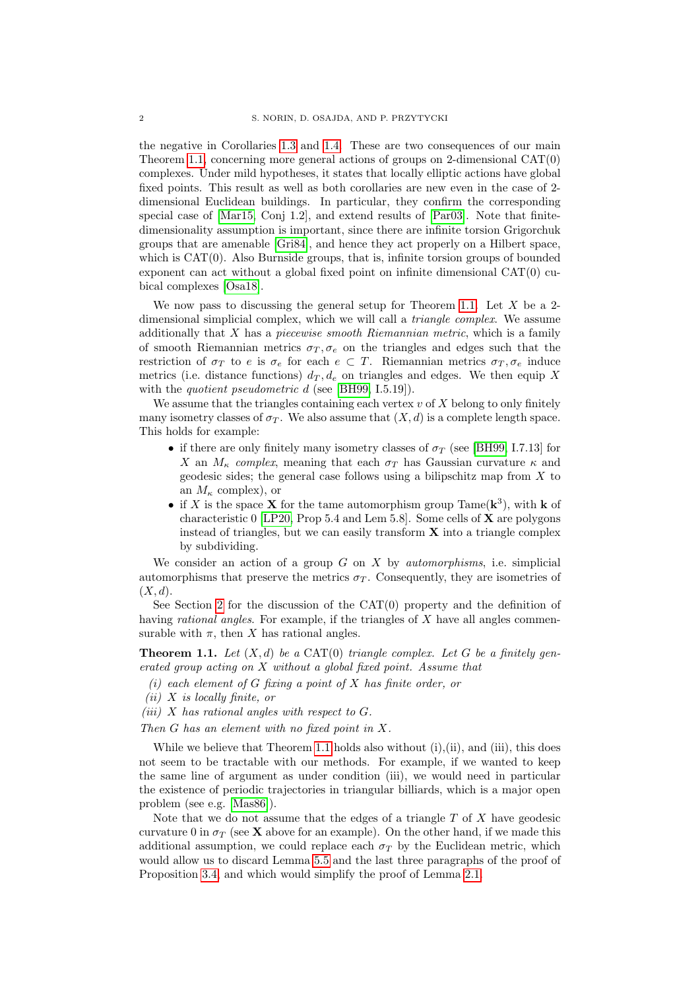the negative in Corollaries [1.3](#page-2-0) and [1.4.](#page-2-1) These are two consequences of our main Theorem [1.1,](#page-1-0) concerning more general actions of groups on 2-dimensional CAT(0) complexes. Under mild hypotheses, it states that locally elliptic actions have global fixed points. This result as well as both corollaries are new even in the case of 2 dimensional Euclidean buildings. In particular, they confirm the corresponding special case of [\[Mar15,](#page-25-10) Conj 1.2], and extend results of [\[Par03\]](#page-25-11). Note that finitedimensionality assumption is important, since there are infinite torsion Grigorchuk groups that are amenable [\[Gri84\]](#page-25-12), and hence they act properly on a Hilbert space, which is  $CAT(0)$ . Also Burnside groups, that is, infinite torsion groups of bounded exponent can act without a global fixed point on infinite dimensional CAT(0) cubical complexes [\[Osa18\]](#page-25-13).

We now pass to discussing the general setup for Theorem [1.1.](#page-1-0) Let  $X$  be a 2dimensional simplicial complex, which we will call a *triangle complex*. We assume additionally that X has a *piecewise smooth Riemannian metric*, which is a family of smooth Riemannian metrics  $\sigma_T, \sigma_e$  on the triangles and edges such that the restriction of  $\sigma_T$  to e is  $\sigma_e$  for each  $e \subset T$ . Riemannian metrics  $\sigma_T, \sigma_e$  induce metrics (i.e. distance functions)  $d_T, d_e$  on triangles and edges. We then equip X with the *quotient pseudometric* d (see [\[BH99,](#page-25-9) I.5.19]).

We assume that the triangles containing each vertex  $v$  of  $X$  belong to only finitely many isometry classes of  $\sigma_T$ . We also assume that  $(X, d)$  is a complete length space. This holds for example:

- if there are only finitely many isometry classes of  $\sigma_T$  (see [\[BH99,](#page-25-9) I.7.13] for X an  $M_{\kappa}$  *complex*, meaning that each  $\sigma_T$  has Gaussian curvature  $\kappa$  and geodesic sides; the general case follows using a bilipschitz map from  $X$  to an  $M_{\kappa}$  complex), or
- if X is the space **X** for the tame automorphism group Tame( $\mathbf{k}^3$ ), with **k** of characteristic 0 [\[LP20,](#page-25-14) Prop 5.4 and Lem 5.8]. Some cells of  $X$  are polygons instead of triangles, but we can easily transform  $X$  into a triangle complex by subdividing.

We consider an action of a group  $G$  on  $X$  by *automorphisms*, i.e. simplicial automorphisms that preserve the metrics  $\sigma_T$ . Consequently, they are isometries of  $(X, d)$ .

See Section [2](#page-3-0) for the discussion of the  $CAT(0)$  property and the definition of having *rational angles*. For example, if the triangles of X have all angles commensurable with  $\pi$ , then X has rational angles.

<span id="page-1-0"></span>**Theorem 1.1.** *Let* (X, d) *be a* CAT(0) *triangle complex. Let* G *be a finitely generated group acting on* X *without a global fixed point. Assume that*

- *(i) each element of* G *fixing a point of* X *has finite order, or*
- *(ii)* X *is locally finite, or*
- *(iii)* X *has rational angles with respect to* G*.*

*Then* G *has an element with no fixed point in* X*.*

While we believe that Theorem [1.1](#page-1-0) holds also without  $(i)$ , $(ii)$ , and  $(iii)$ , this does not seem to be tractable with our methods. For example, if we wanted to keep the same line of argument as under condition (iii), we would need in particular the existence of periodic trajectories in triangular billiards, which is a major open problem (see e.g. [\[Mas86\]](#page-25-15)).

Note that we do not assume that the edges of a triangle  $T$  of  $X$  have geodesic curvature 0 in  $\sigma_T$  (see **X** above for an example). On the other hand, if we made this additional assumption, we could replace each  $\sigma_T$  by the Euclidean metric, which would allow us to discard Lemma [5.5](#page-12-0) and the last three paragraphs of the proof of Proposition [3.4,](#page-7-0) and which would simplify the proof of Lemma [2.1.](#page-4-0)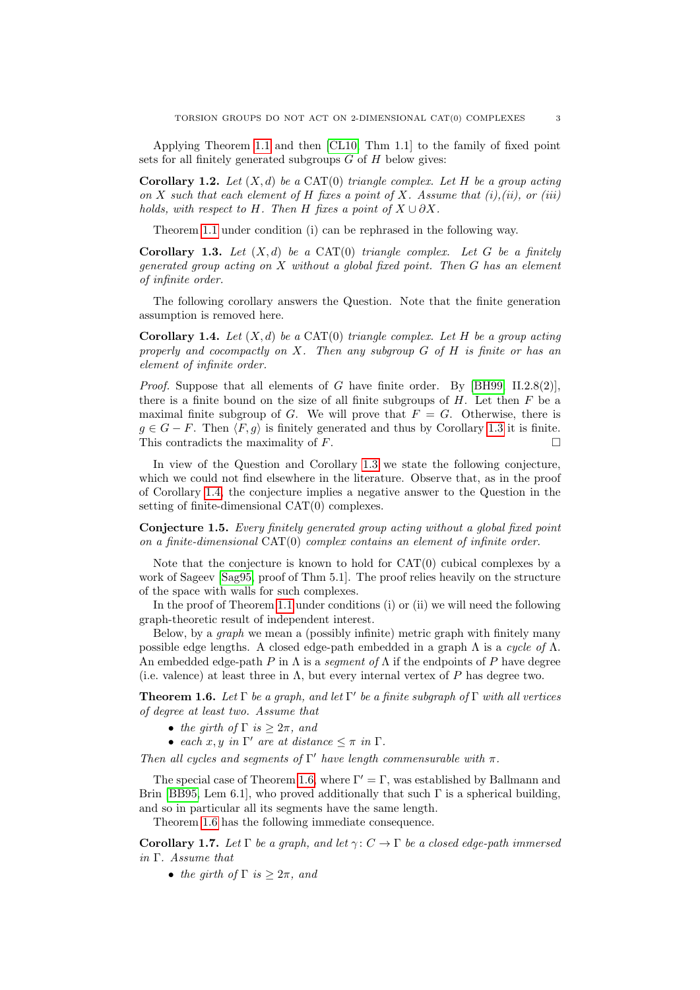Applying Theorem [1.1](#page-1-0) and then [\[CL10,](#page-25-16) Thm 1.1] to the family of fixed point sets for all finitely generated subgroups  $G$  of  $H$  below gives:

**Corollary 1.2.** Let  $(X, d)$  be a CAT(0) *triangle complex. Let*  $H$  *be a group acting on* X *such that each element of* H *fixes a point of* X*. Assume that (i),(ii), or (iii) holds, with respect to* H. Then H *fixes a point of*  $X \cup \partial X$ .

Theorem [1.1](#page-1-0) under condition (i) can be rephrased in the following way.

<span id="page-2-0"></span>**Corollary 1.3.** *Let* (X, d) *be a* CAT(0) *triangle complex. Let* G *be a finitely generated group acting on* X *without a global fixed point. Then* G *has an element of infinite order.*

The following corollary answers the Question. Note that the finite generation assumption is removed here.

<span id="page-2-1"></span>**Corollary 1.4.** Let  $(X, d)$  be a CAT(0) *triangle complex. Let*  $H$  *be a group acting properly and cocompactly on* X*. Then any subgroup* G *of* H *is finite or has an element of infinite order.*

*Proof.* Suppose that all elements of G have finite order. By [\[BH99,](#page-25-9) II.2.8(2)], there is a finite bound on the size of all finite subgroups of  $H$ . Let then  $F$  be a maximal finite subgroup of G. We will prove that  $F = G$ . Otherwise, there is  $g \in G - F$ . Then  $\langle F, g \rangle$  is finitely generated and thus by Corollary [1.3](#page-2-0) it is finite. This contradicts the maximality of  $F$ .

In view of the Question and Corollary [1.3](#page-2-0) we state the following conjecture, which we could not find elsewhere in the literature. Observe that, as in the proof of Corollary [1.4,](#page-2-1) the conjecture implies a negative answer to the Question in the setting of finite-dimensional CAT(0) complexes.

**Conjecture 1.5.** *Every finitely generated group acting without a global fixed point on a finite-dimensional* CAT(0) *complex contains an element of infinite order.*

Note that the conjecture is known to hold for  $CAT(0)$  cubical complexes by a work of Sageev [\[Sag95,](#page-25-17) proof of Thm 5.1]. The proof relies heavily on the structure of the space with walls for such complexes.

In the proof of Theorem [1.1](#page-1-0) under conditions (i) or (ii) we will need the following graph-theoretic result of independent interest.

Below, by a *graph* we mean a (possibly infinite) metric graph with finitely many possible edge lengths. A closed edge-path embedded in a graph Λ is a *cycle of* Λ. An embedded edge-path P in Λ is a *segment of* Λ if the endpoints of P have degree (i.e. valence) at least three in  $\Lambda$ , but every internal vertex of P has degree two.

<span id="page-2-2"></span>**Theorem 1.6.** *Let* Γ *be a graph, and let* Γ 0 *be a finite subgraph of* Γ *with all vertices of degree at least two. Assume that*

- *the girth of*  $\Gamma$  *is*  $> 2\pi$ *, and*
- *each*  $x, y$  *in*  $\Gamma'$  *are at distance*  $\leq \pi$  *in*  $\Gamma$ *.*

*Then all cycles and segments of*  $\Gamma'$  *have length commensurable with*  $\pi$ *.* 

The special case of Theorem [1.6,](#page-2-2) where  $\Gamma' = \Gamma$ , was established by Ballmann and Brin [\[BB95,](#page-25-0) Lem 6.1], who proved additionally that such  $\Gamma$  is a spherical building. and so in particular all its segments have the same length.

Theorem [1.6](#page-2-2) has the following immediate consequence.

<span id="page-2-3"></span>**Corollary 1.7.** Let  $\Gamma$  be a graph, and let  $\gamma: C \to \Gamma$  be a closed edge-path immersed *in* Γ*. Assume that*

• *the girth of*  $\Gamma$  *is*  $\geq 2\pi$ *, and*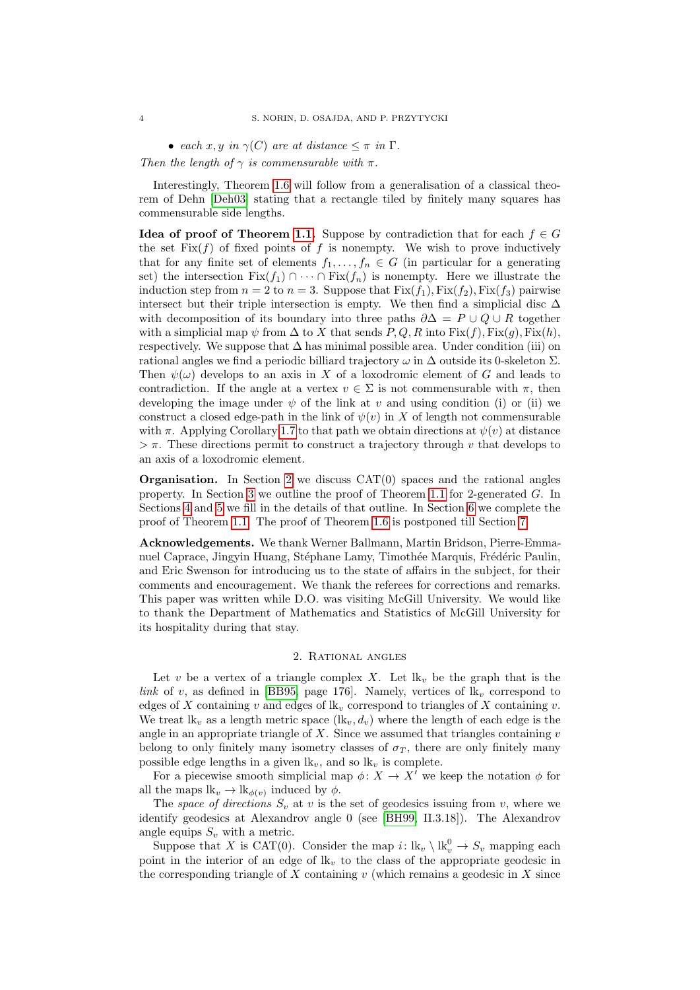• *each*  $x, y$  *in*  $\gamma(C)$  *are at distance*  $\leq \pi$  *in*  $\Gamma$ *.* 

*Then the length of*  $\gamma$  *is commensurable with*  $\pi$ *.* 

Interestingly, Theorem [1.6](#page-2-2) will follow from a generalisation of a classical theorem of Dehn [\[Deh03\]](#page-25-18) stating that a rectangle tiled by finitely many squares has commensurable side lengths.

**Idea of proof of Theorem [1.1.](#page-1-0)** Suppose by contradiction that for each  $f \in G$ the set  $Fix(f)$  of fixed points of f is nonempty. We wish to prove inductively that for any finite set of elements  $f_1, \ldots, f_n \in G$  (in particular for a generating set) the intersection  $Fix(f_1) \cap \cdots \cap Fix(f_n)$  is nonempty. Here we illustrate the induction step from  $n = 2$  to  $n = 3$ . Suppose that  $Fix(f_1)$ ,  $Fix(f_2)$ ,  $Fix(f_3)$  pairwise intersect but their triple intersection is empty. We then find a simplicial disc  $\Delta$ with decomposition of its boundary into three paths  $\partial \Delta = P \cup Q \cup R$  together with a simplicial map  $\psi$  from  $\Delta$  to X that sends P, Q, R into Fix(f), Fix(q), Fix(h), respectively. We suppose that  $\Delta$  has minimal possible area. Under condition (iii) on rational angles we find a periodic billiard trajectory  $\omega$  in  $\Delta$  outside its 0-skeleton  $\Sigma$ . Then  $\psi(\omega)$  develops to an axis in X of a loxodromic element of G and leads to contradiction. If the angle at a vertex  $v \in \Sigma$  is not commensurable with  $\pi$ , then developing the image under  $\psi$  of the link at v and using condition (i) or (ii) we construct a closed edge-path in the link of  $\psi(v)$  in X of length not commensurable with  $\pi$ . Applying Corollary [1.7](#page-2-3) to that path we obtain directions at  $\psi(v)$  at distance  $>\pi$ . These directions permit to construct a trajectory through v that develops to an axis of a loxodromic element.

**Organisation.** In Section [2](#page-3-0) we discuss CAT(0) spaces and the rational angles property. In Section [3](#page-6-0) we outline the proof of Theorem [1.1](#page-1-0) for 2-generated  $G$ . In Sections [4](#page-8-0) and [5](#page-11-0) we fill in the details of that outline. In Section [6](#page-16-0) we complete the proof of Theorem [1.1.](#page-1-0) The proof of Theorem [1.6](#page-2-2) is postponed till Section [7.](#page-18-0)

**Acknowledgements.** We thank Werner Ballmann, Martin Bridson, Pierre-Emmanuel Caprace, Jingyin Huang, Stéphane Lamy, Timothée Marquis, Frédéric Paulin, and Eric Swenson for introducing us to the state of affairs in the subject, for their comments and encouragement. We thank the referees for corrections and remarks. This paper was written while D.O. was visiting McGill University. We would like to thank the Department of Mathematics and Statistics of McGill University for its hospitality during that stay.

### 2. Rational angles

<span id="page-3-0"></span>Let v be a vertex of a triangle complex X. Let  $lk_n$  be the graph that is the *link* of v, as defined in [\[BB95,](#page-25-0) page 176]. Namely, vertices of  $lk_v$  correspond to edges of X containing v and edges of  $lk_v$  correspond to triangles of X containing v. We treat  $lk_v$  as a length metric space  $(lk_v, d_v)$  where the length of each edge is the angle in an appropriate triangle of  $X$ . Since we assumed that triangles containing  $v$ belong to only finitely many isometry classes of  $\sigma_T$ , there are only finitely many possible edge lengths in a given  $lk_v$ , and so  $lk_v$  is complete.

For a piecewise smooth simplicial map  $\phi: X \to X'$  we keep the notation  $\phi$  for all the maps  $\mathbf{lk}_v \to \mathbf{lk}_{\phi(v)}$  induced by  $\phi$ .

The *space of directions*  $S_v$  at v is the set of geodesics issuing from v, where we identify geodesics at Alexandrov angle 0 (see [\[BH99,](#page-25-9) II.3.18]). The Alexandrov angle equips  $S_v$  with a metric.

Suppose that X is CAT(0). Consider the map  $i: \mathbf{lk}_v \setminus \mathbf{lk}_v^0 \to S_v$  mapping each point in the interior of an edge of  $lk_v$  to the class of the appropriate geodesic in the corresponding triangle of  $X$  containing  $v$  (which remains a geodesic in  $X$  since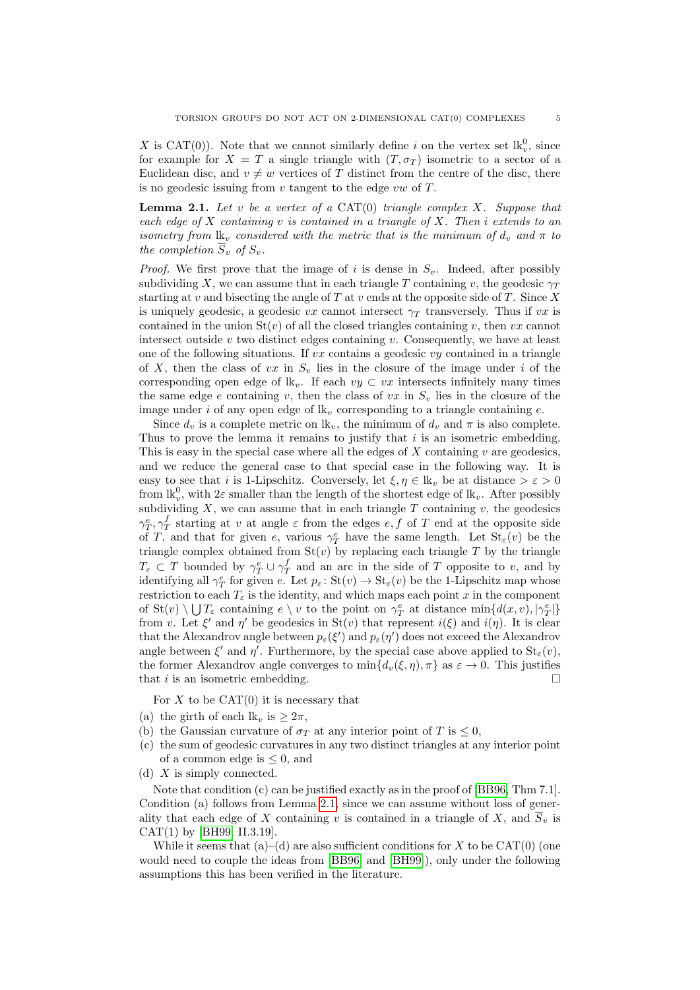X is CAT(0)). Note that we cannot similarly define i on the vertex set  $lk_v^0$ , since for example for  $X = T$  a single triangle with  $(T, \sigma_T)$  isometric to a sector of a Euclidean disc, and  $v \neq w$  vertices of T distinct from the centre of the disc, there is no geodesic issuing from  $v$  tangent to the edge  $vw$  of  $T$ .

<span id="page-4-0"></span>**Lemma 2.1.** *Let* v *be a vertex of a* CAT(0) *triangle complex* X*. Suppose that each edge of* X *containing* v *is contained in a triangle of* X*. Then* i *extends to an isometry from*  $\mathbf{lk}_v$  *considered with the metric that is the minimum of*  $d_v$  *and*  $\pi$  *to the completion*  $\overline{S}_v$  *of*  $S_v$ *.* 

*Proof.* We first prove that the image of i is dense in  $S_v$ . Indeed, after possibly subdividing X, we can assume that in each triangle T containing v, the geodesic  $\gamma_T$ starting at v and bisecting the angle of  $T$  at v ends at the opposite side of  $T$ . Since  $X$ is uniquely geodesic, a geodesic vx cannot intersect  $\gamma_T$  transversely. Thus if vx is contained in the union  $St(v)$  of all the closed triangles containing v, then vx cannot intersect outside  $v$  two distinct edges containing  $v$ . Consequently, we have at least one of the following situations. If  $vx$  contains a geodesic  $vy$  contained in a triangle of X, then the class of vx in  $S_v$  lies in the closure of the image under i of the corresponding open edge of  $\mathbf{lk}_v$ . If each  $vy \subset vx$  intersects infinitely many times the same edge e containing v, then the class of vx in  $S_v$  lies in the closure of the image under i of any open edge of  $lk_v$  corresponding to a triangle containing e.

Since  $d_v$  is a complete metric on  $\mathbf{lk}_v$ , the minimum of  $d_v$  and  $\pi$  is also complete. Thus to prove the lemma it remains to justify that i is an isometric embedding. This is easy in the special case where all the edges of  $X$  containing  $v$  are geodesics, and we reduce the general case to that special case in the following way. It is easy to see that i is 1-Lipschitz. Conversely, let  $\xi, \eta \in \mathbb{R}_v$  be at distance  $\geq \varepsilon > 0$ from  $\mathbf{lk}_{v}^{0}$ , with  $2\varepsilon$  smaller than the length of the shortest edge of  $\mathbf{lk}_{v}$ . After possibly subdividing  $X$ , we can assume that in each triangle  $T$  containing  $v$ , the geodesics  $\gamma_T^e, \gamma_T^f$  starting at v at angle  $\varepsilon$  from the edges  $e, f$  of T end at the opposite side of T, and that for given e, various  $\gamma_T^e$  have the same length. Let  $\text{St}_{\varepsilon}(v)$  be the triangle complex obtained from  $St(v)$  by replacing each triangle T by the triangle  $T_{\varepsilon} \subset T$  bounded by  $\gamma_T^e \cup \gamma_T^f$  and an arc in the side of T opposite to v, and by identifying all  $\gamma^e_T$  for given e. Let  $p_\varepsilon$ : St $(v) \to \text{St}_{\varepsilon}(v)$  be the 1-Lipschitz map whose restriction to each  $T_{\varepsilon}$  is the identity, and which maps each point x in the component of  $St(v) \setminus \bigcup T_{\varepsilon}$  containing  $e \setminus v$  to the point on  $\gamma_T^e$  at distance  $\min\{d(x,v),|\gamma_T^e|\}$ from v. Let  $\xi'$  and  $\eta'$  be geodesics in  $St(v)$  that represent  $i(\xi)$  and  $i(\eta)$ . It is clear that the Alexandrov angle between  $p_{\varepsilon}(\xi')$  and  $p_{\varepsilon}(\eta')$  does not exceed the Alexandrov angle between  $\xi'$  and  $\eta'$ . Furthermore, by the special case above applied to  $St_{\varepsilon}(v)$ , the former Alexandrov angle converges to  $\min\{d_v(\xi,\eta),\pi\}$  as  $\varepsilon\to 0$ . This justifies that *i* is an isometric embedding.  $\square$ 

For  $X$  to be  $CAT(0)$  it is necessary that

- (a) the girth of each  $\mathbf{lk}_v$  is  $\geq 2\pi$ ,
- (b) the Gaussian curvature of  $\sigma_T$  at any interior point of T is  $\leq 0$ ,
- (c) the sum of geodesic curvatures in any two distinct triangles at any interior point of a common edge is  $\leq 0$ , and
- (d) X is simply connected.

Note that condition (c) can be justified exactly as in the proof of [\[BB96,](#page-25-19) Thm 7.1]. Condition (a) follows from Lemma [2.1,](#page-4-0) since we can assume without loss of generality that each edge of X containing v is contained in a triangle of X, and  $\overline{S}_v$  is CAT(1) by [\[BH99,](#page-25-9) II.3.19].

While it seems that  $(a)$ – $(d)$  are also sufficient conditions for X to be CAT $(0)$  (one would need to couple the ideas from [\[BB96\]](#page-25-19) and [\[BH99\]](#page-25-9)), only under the following assumptions this has been verified in the literature.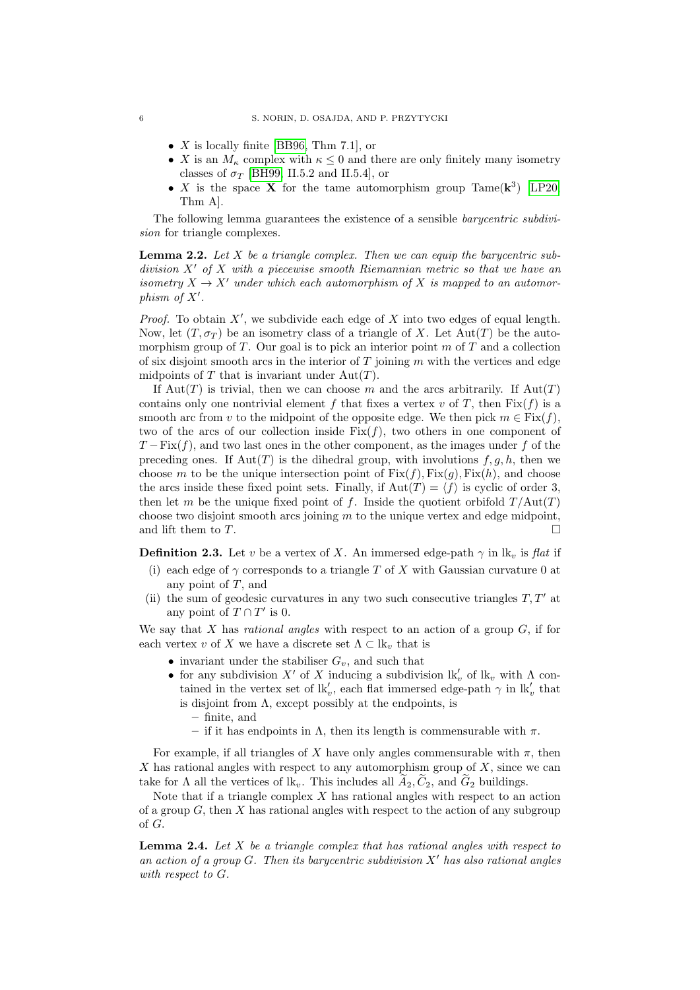- $X$  is locally finite [\[BB96,](#page-25-19) Thm 7.1], or
- X is an  $M_{\kappa}$  complex with  $\kappa \leq 0$  and there are only finitely many isometry classes of  $\sigma_T$  [\[BH99,](#page-25-9) II.5.2 and II.5.4], or
- X is the space X for the tame automorphism group Tame( $\mathbf{k}^3$ ) [\[LP20,](#page-25-14) Thm A].

The following lemma guarantees the existence of a sensible *barycentric subdivision* for triangle complexes.

**Lemma 2.2.** *Let* X *be a triangle complex. Then we can equip the barycentric subdivision* X<sup>0</sup> *of* X *with a piecewise smooth Riemannian metric so that we have an isometry*  $X \to X'$  *under which each automorphism of* X *is mapped to an automorphism of*  $X'$ .

*Proof.* To obtain  $X'$ , we subdivide each edge of  $X$  into two edges of equal length. Now, let  $(T, \sigma_T)$  be an isometry class of a triangle of X. Let Aut $(T)$  be the automorphism group of  $T$ . Our goal is to pick an interior point  $m$  of  $T$  and a collection of six disjoint smooth arcs in the interior of  $T$  joining  $m$  with the vertices and edge midpoints of T that is invariant under  $Aut(T)$ .

If Aut(T) is trivial, then we can choose m and the arcs arbitrarily. If  $Aut(T)$ contains only one nontrivial element f that fixes a vertex v of T, then  $Fix(f)$  is a smooth arc from v to the midpoint of the opposite edge. We then pick  $m \in Fix(f)$ . two of the arcs of our collection inside  $Fix(f)$ , two others in one component of  $T - Fix(f)$ , and two last ones in the other component, as the images under f of the preceding ones. If  $\text{Aut}(T)$  is the dihedral group, with involutions  $f, g, h$ , then we choose m to be the unique intersection point of  $Fix(f), Fix(g), Fix(h)$ , and choose the arcs inside these fixed point sets. Finally, if  $Aut(T) = \langle f \rangle$  is cyclic of order 3, then let m be the unique fixed point of f. Inside the quotient orbifold  $T/\text{Aut}(T)$ choose two disjoint smooth arcs joining  $m$  to the unique vertex and edge midpoint, and lift them to  $T$ .

<span id="page-5-0"></span>**Definition 2.3.** Let v be a vertex of X. An immersed edge-path  $\gamma$  in lk<sub>v</sub> is *flat* if

- (i) each edge of  $\gamma$  corresponds to a triangle T of X with Gaussian curvature 0 at any point of T, and
- (ii) the sum of geodesic curvatures in any two such consecutive triangles  $T, T'$  at any point of  $T \cap T'$  is 0.

We say that X has *rational angles* with respect to an action of a group G, if for each vertex v of X we have a discrete set  $\Lambda \subset \mathbb{R}_v$  that is

- invariant under the stabiliser  $G_v$ , and such that
- for any subdivision  $X'$  of X inducing a subdivision  $\mathbf{lk}'_v$  of  $\mathbf{lk}_v$  with  $\Lambda$  contained in the vertex set of  $\mathbf{lk}'_v$ , each flat immersed edge-path  $\gamma$  in  $\mathbf{lk}'_v$  that is disjoint from  $\Lambda$ , except possibly at the endpoints, is
	- **–** finite, and
	- if it has endpoints in  $\Lambda$ , then its length is commensurable with  $\pi$ .

For example, if all triangles of X have only angles commensurable with  $\pi$ , then X has rational angles with respect to any automorphism group of  $X$ , since we can take for  $\Lambda$  all the vertices of  $\mathbf{lk}_v$ . This includes all  $A_2, C_2$ , and  $G_2$  buildings.

Note that if a triangle complex  $X$  has rational angles with respect to an action of a group  $G$ , then X has rational angles with respect to the action of any subgroup of G.

<span id="page-5-1"></span>**Lemma 2.4.** *Let* X *be a triangle complex that has rational angles with respect to an action of a group* G*. Then its barycentric subdivision* X<sup>0</sup> *has also rational angles with respect to* G*.*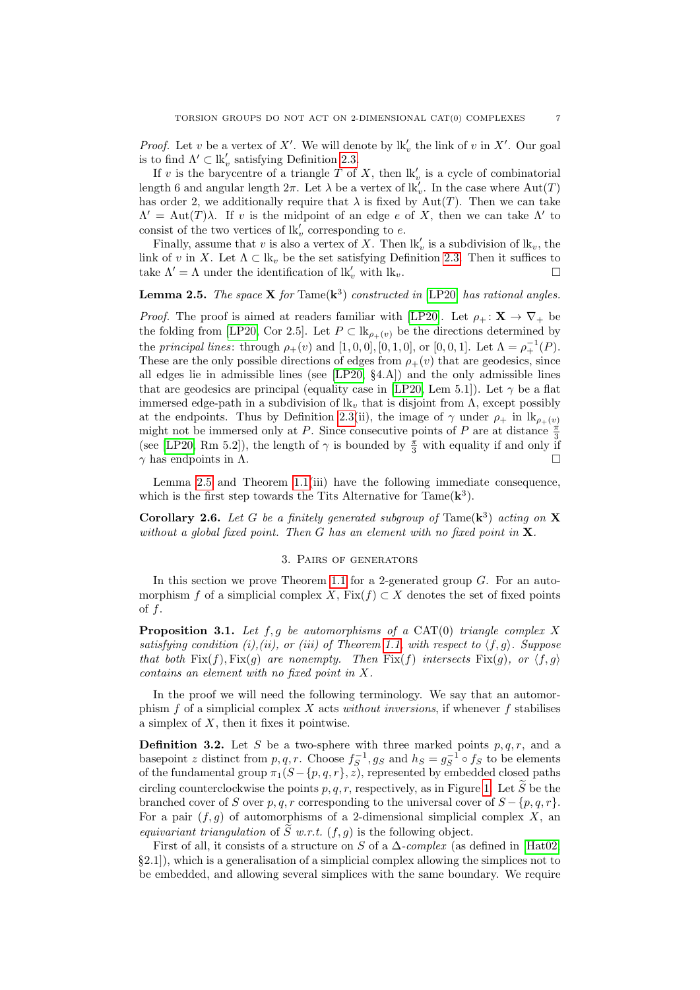*Proof.* Let v be a vertex of X'. We will denote by  $\mathbf{lk}'_v$  the link of v in X'. Our goal is to find  $\Lambda' \subset \mathrm{lk}_v'$  satisfying Definition [2.3.](#page-5-0)

If v is the barycentre of a triangle T of X, then  $\mathbf{lk}'_v$  is a cycle of combinatorial length 6 and angular length  $2\pi$ . Let  $\lambda$  be a vertex of  $\mathbf{lk}'_v$ . In the case where  $\text{Aut}(T)$ has order 2, we additionally require that  $\lambda$  is fixed by Aut(T). Then we can take  $\Lambda' = \text{Aut}(T)\lambda$ . If v is the midpoint of an edge e of X, then we can take  $\Lambda'$  to consist of the two vertices of  $\mathbb{R}'_v$  corresponding to e.

Finally, assume that v is also a vertex of X. Then  $\mathbf{lk}'_v$  is a subdivision of  $\mathbf{lk}_v$ , the link of v in X. Let  $\Lambda \subset \mathbb{R}_v$  be the set satisfying Definition [2.3.](#page-5-0) Then it suffices to take  $\Lambda' = \Lambda$  under the identification of  $lk'_v$  with  $lk_v$ .

# <span id="page-6-1"></span>**Lemma 2.5.** *The space*  $X$  *for*  $\text{Tame}(k^3)$  *constructed in* [\[LP20\]](#page-25-14) *has rational angles.*

*Proof.* The proof is aimed at readers familiar with [\[LP20\]](#page-25-14). Let  $\rho_+ : \mathbf{X} \to \nabla_+$  be the folding from [\[LP20,](#page-25-14) Cor 2.5]. Let  $P \subset \mathbb{R}_{\rho_+(v)}$  be the directions determined by the *principal lines*: through  $\rho_{+}(v)$  and  $[1, 0, 0], [0, 1, 0],$  or  $[0, 0, 1]$ . Let  $\Lambda = \rho_{+}^{-1}(P)$ . These are the only possible directions of edges from  $\rho_{+}(v)$  that are geodesics, since all edges lie in admissible lines (see [\[LP20,](#page-25-14) §4.A]) and the only admissible lines that are geodesics are principal (equality case in [\[LP20,](#page-25-14) Lem 5.1]). Let  $\gamma$  be a flat immersed edge-path in a subdivision of  $lk_v$  that is disjoint from  $\Lambda$ , except possibly at the endpoints. Thus by Definition [2.3\(](#page-5-0)ii), the image of  $\gamma$  under  $\rho_+$  in  $\mathrm{lk}_{\rho_+(v)}$ might not be immersed only at P. Since consecutive points of P are at distance  $\frac{\pi}{3}$ (see [\[LP20,](#page-25-14) Rm 5.2]), the length of  $\gamma$  is bounded by  $\frac{\pi}{3}$  with equality if and only if  $\gamma$  has endpoints in  $\Lambda$ .

Lemma [2.5](#page-6-1) and Theorem [1.1\(](#page-1-0)iii) have the following immediate consequence, which is the first step towards the Tits Alternative for  $\text{Tame}(\mathbf{k}^3)$ .

**Corollary 2.6.** Let G be a finitely generated subgroup of  $\text{Tame}(\mathbf{k}^3)$  acting on **X** *without a global fixed point. Then* G *has an element with no fixed point in* X*.*

### 3. Pairs of generators

<span id="page-6-0"></span>In this section we prove Theorem [1.1](#page-1-0) for a 2-generated group G. For an automorphism f of a simplicial complex X,  $Fix(f) \subset X$  denotes the set of fixed points of  $f$ .

<span id="page-6-2"></span>**Proposition 3.1.** *Let* f, g *be automorphisms of a* CAT(0) *triangle complex* X *satisfying condition (i),(ii), or (iii) of Theorem [1.1,](#page-1-0) with respect to*  $\langle f, g \rangle$ *. Suppose that both*  $Fix(f), Fix(g)$  *are nonempty. Then*  $Fix(f)$  *intersects*  $Fix(g)$ *, or*  $\langle f, g \rangle$ *contains an element with no fixed point in* X*.*

In the proof we will need the following terminology. We say that an automorphism f of a simplicial complex X acts *without inversions*, if whenever f stabilises a simplex of  $X$ , then it fixes it pointwise.

<span id="page-6-3"></span>**Definition 3.2.** Let S be a two-sphere with three marked points  $p, q, r$ , and a basepoint z distinct from  $p, q, r$ . Choose  $f_S^{-1}, g_S$  and  $h_S = g_S^{-1} \circ f_S$  to be elements of the fundamental group  $\pi_1(S-\{p,q,r\}, z)$ , represented by embedded closed paths circling counterclockwise the points p, q, r, respectively, as in Figure [1.](#page-7-1) Let  $\widetilde{S}$  be the branched cover of S over p, q, r corresponding to the universal cover of  $S - \{p, q, r\}$ . For a pair  $(f, g)$  of automorphisms of a 2-dimensional simplicial complex X, an *equivariant triangulation* of  $\widetilde{S}$  *w.r.t.* (*f, q*) is the following object.

First of all, it consists of a structure on S of a ∆*-complex* (as defined in [\[Hat02,](#page-25-20)  $\S2.1$ ), which is a generalisation of a simplicial complex allowing the simplices not to be embedded, and allowing several simplices with the same boundary. We require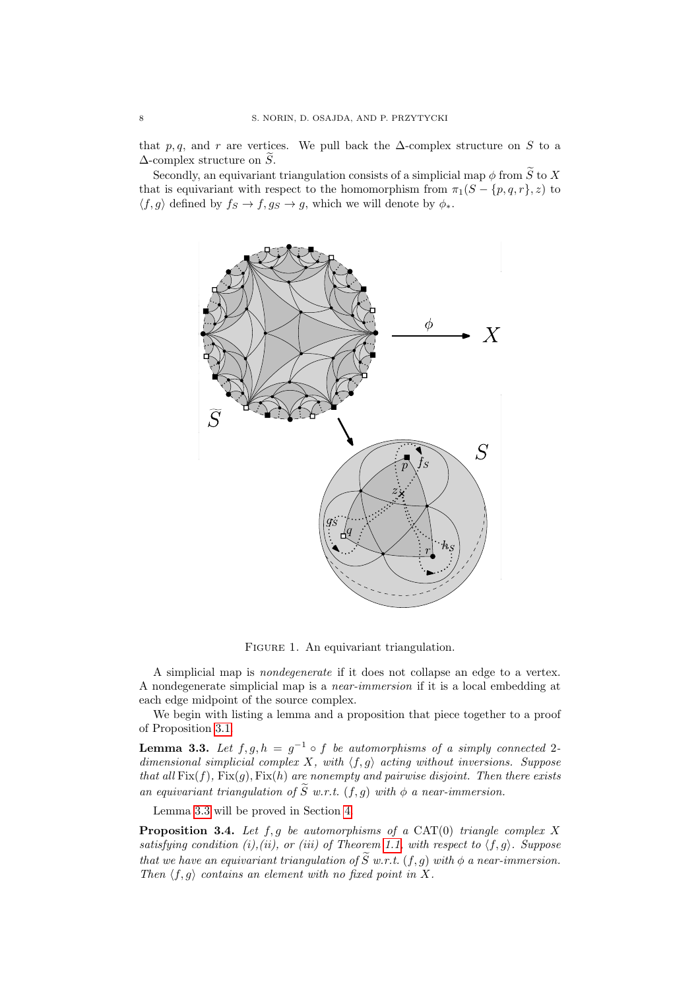that p, q, and r are vertices. We pull back the  $\Delta$ -complex structure on S to a  $\Delta$ -complex structure on  $\widetilde{S}$ .

Secondly, an equivariant triangulation consists of a simplicial map  $\phi$  from  $\widetilde{S}$  to X that is equivariant with respect to the homomorphism from  $\pi_1(S - \{p, q, r\}, z)$  to  $\langle f, g \rangle$  defined by  $f_S \to f, g_S \to g$ , which we will denote by  $\phi_*$ .



<span id="page-7-1"></span>FIGURE 1. An equivariant triangulation.

A simplicial map is *nondegenerate* if it does not collapse an edge to a vertex. A nondegenerate simplicial map is a *near-immersion* if it is a local embedding at each edge midpoint of the source complex.

We begin with listing a lemma and a proposition that piece together to a proof of Proposition [3.1.](#page-6-2)

<span id="page-7-2"></span>**Lemma 3.3.** Let  $f, g, h = g^{-1} \circ f$  be automorphisms of a simply connected 2*dimensional simplicial complex*  $X$ *, with*  $\langle f, g \rangle$  *acting without inversions. Suppose that all*  $Fix(f)$ *,*  $Fix(g)$ *,*  $Fix(h)$  *are nonempty and pairwise disjoint. Then there exists an equivariant triangulation of*  $\widetilde{S}$  *w.r.t.* (*f, q*) *with*  $\phi$  *a near-immersion.* 

Lemma [3.3](#page-7-2) will be proved in Section [4.](#page-8-0)

<span id="page-7-0"></span>**Proposition 3.4.** *Let* f, g *be automorphisms of a* CAT(0) *triangle complex* X *satisfying condition (i),(ii), or (iii) of Theorem [1.1,](#page-1-0) with respect to*  $\langle f, g \rangle$ *. Suppose that we have an equivariant triangulation of*  $\widetilde{S}$  *w.r.t.*  $(f, g)$  *with*  $\phi$  *a near-immersion. Then*  $\langle f, g \rangle$  *contains an element with no fixed point in* X.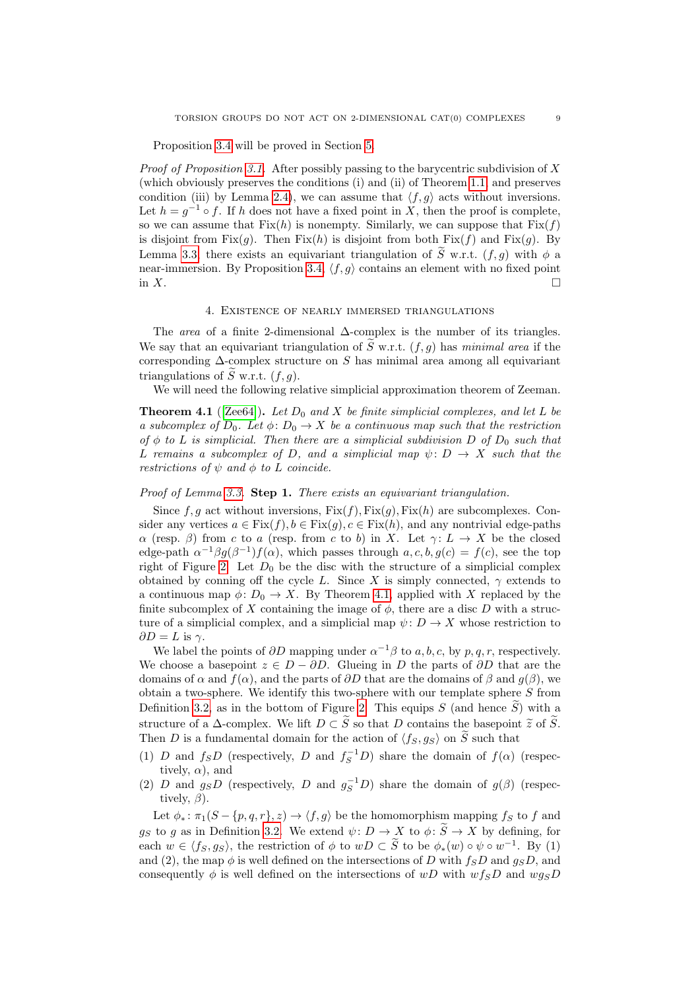Proposition [3.4](#page-7-0) will be proved in Section [5.](#page-11-0)

*Proof of Proposition [3.1.](#page-6-2)* After possibly passing to the barycentric subdivision of X (which obviously preserves the conditions (i) and (ii) of Theorem [1.1,](#page-1-0) and preserves condition (iii) by Lemma [2.4\)](#page-5-1), we can assume that  $\langle f, g \rangle$  acts without inversions. Let  $h = g^{-1} \circ f$ . If h does not have a fixed point in X, then the proof is complete, so we can assume that  $Fix(h)$  is nonempty. Similarly, we can suppose that  $Fix(f)$ is disjoint from Fix $(g)$ . Then Fix $(h)$  is disjoint from both Fix $(f)$  and Fix $(g)$ . By Lemma [3.3,](#page-7-2) there exists an equivariant triangulation of  $\widetilde{S}$  w.r.t.  $(f, q)$  with  $\phi$  a near-immersion. By Proposition [3.4,](#page-7-0)  $\langle f, g \rangle$  contains an element with no fixed point in X.

### 4. Existence of nearly immersed triangulations

<span id="page-8-0"></span>The *area* of a finite 2-dimensional ∆-complex is the number of its triangles. We say that an equivariant triangulation of  $\tilde{S}$  w.r.t.  $(f, g)$  has *minimal area* if the corresponding  $\Delta$ -complex structure on S has minimal area among all equivariant triangulations of  $\tilde{S}$  w.r.t.  $(f, q)$ .

We will need the following relative simplicial approximation theorem of Zeeman.

<span id="page-8-1"></span>**Theorem 4.1** ([\[Zee64\]](#page-26-0)). Let  $D_0$  and X be finite simplicial complexes, and let L be *a subcomplex of*  $D_0$ *. Let*  $\phi$ *:*  $D_0 \rightarrow X$  *be a continuous map such that the restriction of*  $\phi$  *to L is simplicial. Then there are a simplicial subdivision D of*  $D_0$  *such that* L remains a subcomplex of D, and a simplicial map  $\psi: D \to X$  such that the *restrictions of*  $\psi$  *and*  $\phi$  *to L coincide.* 

# *Proof of Lemma [3.3.](#page-7-2)* **Step 1.** *There exists an equivariant triangulation.*

Since f, q act without inversions,  $Fix(f), Fix(q), Fix(h)$  are subcomplexes. Consider any vertices  $a \in Fix(f), b \in Fix(g), c \in Fix(h)$ , and any nontrivial edge-paths  $\alpha$  (resp.  $\beta$ ) from c to a (resp. from c to b) in X. Let  $\gamma: L \to X$  be the closed edge-path  $\alpha^{-1}\beta g(\beta^{-1})f(\alpha)$ , which passes through  $a, c, b, g(c) = f(c)$ , see the top right of Figure [2.](#page-9-0) Let  $D_0$  be the disc with the structure of a simplicial complex obtained by conning off the cycle L. Since X is simply connected,  $\gamma$  extends to a continuous map  $\phi: D_0 \to X$ . By Theorem [4.1,](#page-8-1) applied with X replaced by the finite subcomplex of X containing the image of  $\phi$ , there are a disc D with a structure of a simplicial complex, and a simplicial map  $\psi: D \to X$  whose restriction to  $\partial D = L$  is  $\gamma$ .

We label the points of  $\partial D$  mapping under  $\alpha^{-1}\beta$  to a, b, c, by p, q, r, respectively. We choose a basepoint  $z \in D - \partial D$ . Glueing in D the parts of  $\partial D$  that are the domains of  $\alpha$  and  $f(\alpha)$ , and the parts of  $\partial D$  that are the domains of  $\beta$  and  $g(\beta)$ , we obtain a two-sphere. We identify this two-sphere with our template sphere  $S$  from Definition [3.2,](#page-6-3) as in the bottom of Figure [2.](#page-9-0) This equips S (and hence  $\widetilde{S}$ ) with a structure of a  $\Delta$ -complex. We lift  $D \subset \widetilde{S}$  so that D contains the basepoint  $\widetilde{z}$  of  $\widetilde{S}$ . Then D is a fundamental domain for the action of  $\langle f_S, g_S \rangle$  on  $\tilde{S}$  such that

- (1) D and  $f_S D$  (respectively, D and  $f_S^{-1} D$ ) share the domain of  $f(\alpha)$  (respectively,  $\alpha$ ), and
- (2) D and  $g_S D$  (respectively, D and  $g_S^{-1} D$ ) share the domain of  $g(\beta)$  (respectively,  $\beta$ ).

Let  $\phi_* : \pi_1(S - \{p, q, r\}, z) \to \langle f, g \rangle$  be the homomorphism mapping  $f_S$  to f and g<sub>S</sub> to g as in Definition [3.2.](#page-6-3) We extend  $\psi: D \to X$  to  $\phi: \widetilde{S} \to X$  by defining, for each  $w \in \langle f_S, g_S \rangle$ , the restriction of  $\phi$  to  $wD \subset \widetilde{S}$  to be  $\phi_*(w) \circ \psi \circ w^{-1}$ . By (1) and (2), the map  $\phi$  is well defined on the intersections of D with  $f_S D$  and  $g_S D$ , and consequently  $\phi$  is well defined on the intersections of wD with  $wfsD$  and  $wgsD$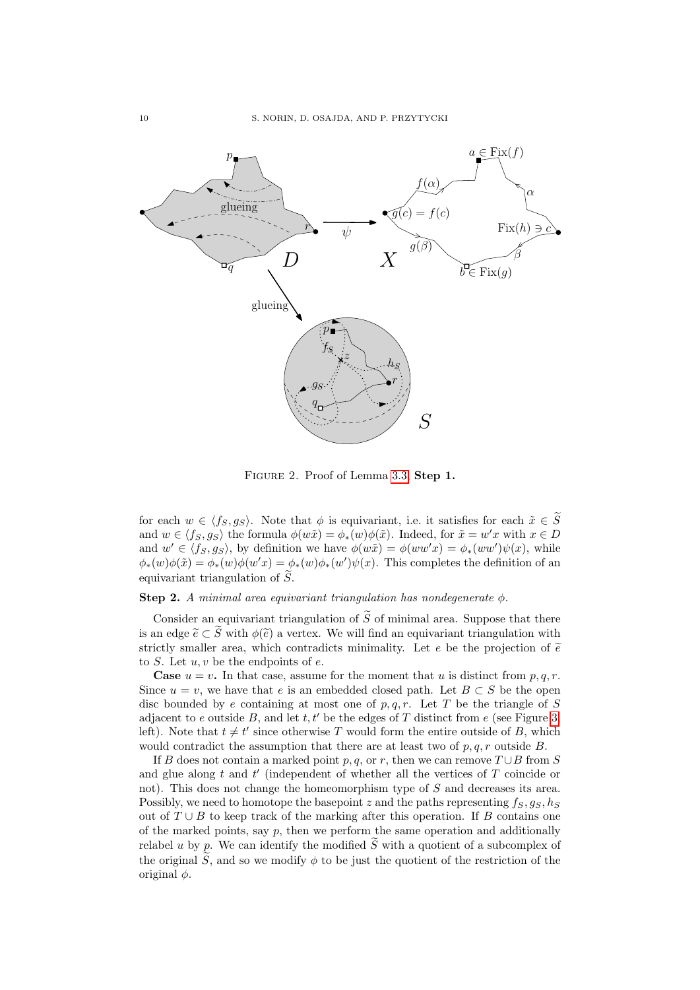

<span id="page-9-0"></span>Figure 2. Proof of Lemma [3.3,](#page-7-2) **Step 1.**

for each  $w \in \langle f_S, g_S \rangle$ . Note that  $\phi$  is equivariant, i.e. it satisfies for each  $\tilde{x} \in \tilde{S}$ and  $w \in \langle f_S, g_S \rangle$  the formula  $\phi(w\tilde{x}) = \phi_*(w)\phi(\tilde{x})$ . Indeed, for  $\tilde{x} = w'x$  with  $x \in D$ and  $w' \in \langle f_S, g_S \rangle$ , by definition we have  $\phi(w\tilde{x}) = \phi(ww'x) = \phi_*(ww')\psi(x)$ , while  $\phi_*(w)\phi(\tilde{x}) = \phi_*(w)\phi(w'x) = \phi_*(w)\phi_*(w')\psi(x)$ . This completes the definition of an equivariant triangulation of  $S$ .

# **Step 2.** *A minimal area equivariant triangulation has nondegenerate*  $\phi$ *.*

Consider an equivariant triangulation of  $\tilde{S}$  of minimal area. Suppose that there is an edge  $\tilde{e} \subset \tilde{S}$  with  $\phi(\tilde{e})$  a vertex. We will find an equivariant triangulation with strictly smaller area, which contradicts minimality. Let e be the projection of  $\tilde{e}$ to  $S$ . Let  $u, v$  be the endpoints of  $e$ .

**Case**  $u = v$ . In that case, assume for the moment that u is distinct from p, q, r. Since  $u = v$ , we have that e is an embedded closed path. Let  $B \subset S$  be the open disc bounded by e containing at most one of  $p, q, r$ . Let T be the triangle of S adjacent to e outside B, and let  $t, t'$  be the edges of T distinct from e (see Figure [3,](#page-10-0) left). Note that  $t \neq t'$  since otherwise T would form the entire outside of B, which would contradict the assumption that there are at least two of  $p, q, r$  outside  $B$ .

If B does not contain a marked point p, q, or r, then we can remove  $T \cup B$  from S and glue along  $t$  and  $t'$  (independent of whether all the vertices of  $T$  coincide or not). This does not change the homeomorphism type of S and decreases its area. Possibly, we need to homotope the basepoint z and the paths representing  $f_S, g_S, h_S$ out of  $T \cup B$  to keep track of the marking after this operation. If B contains one of the marked points, say  $p$ , then we perform the same operation and additionally relabel u by p. We can identify the modified  $\tilde{S}$  with a quotient of a subcomplex of the original  $\tilde{S}$ , and so we modify  $\phi$  to be just the quotient of the restriction of the original  $\phi$ .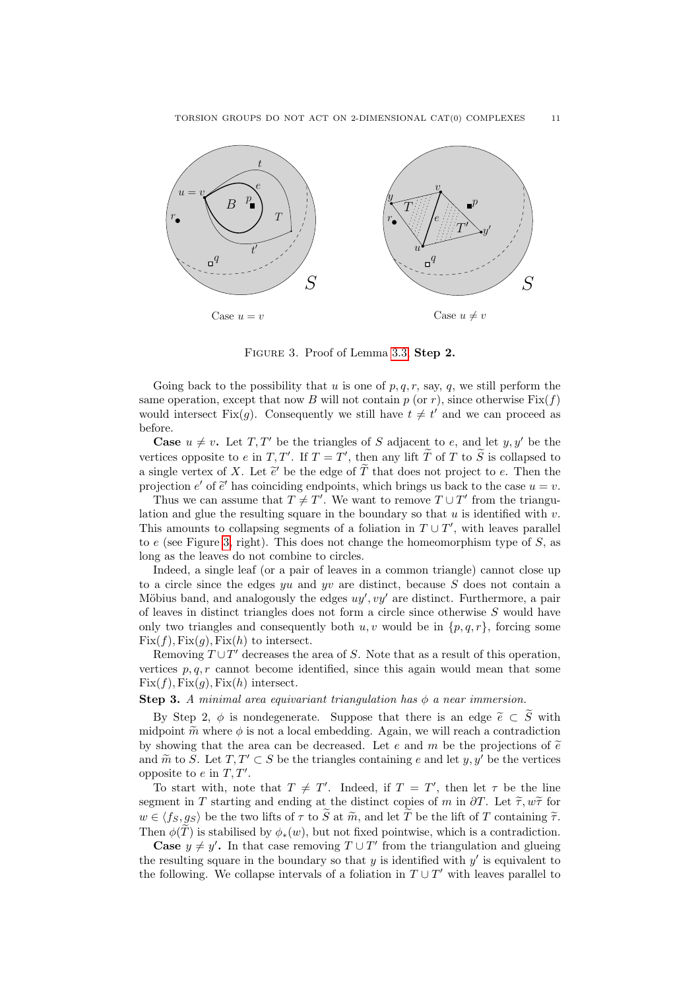

<span id="page-10-0"></span>Figure 3. Proof of Lemma [3.3,](#page-7-2) **Step 2.**

Going back to the possibility that u is one of  $p, q, r$ , say, q, we still perform the same operation, except that now B will not contain  $p$  (or r), since otherwise  $Fix(f)$ would intersect Fix(g). Consequently we still have  $t \neq t'$  and we can proceed as before.

**Case**  $u \neq v$ . Let T, T' be the triangles of S adjacent to e, and let y, y' be the vertices opposite to e in T, T'. If  $T = T'$ , then any lift T of T to  $\widetilde{S}$  is collapsed to a single vertex of X. Let  $\tilde{e}'$  be the edge of  $\tilde{T}$  that does not project to e. Then the<br>projection  $e'$  of  $\tilde{e}'$  has coinciding ordinairs, which brings us back to the case  $u = v$ . projection e' of  $\tilde{e}$ ' has coinciding endpoints, which brings us back to the case  $u = v$ .<br>Thus we can assume that  $T \neq T'$ . We want to remove  $T \perp T'$  from the triangu

Thus we can assume that  $T \neq T'$ . We want to remove  $T \cup T'$  from the triangulation and glue the resulting square in the boundary so that  $u$  is identified with  $v$ . This amounts to collapsing segments of a foliation in  $T \cup T'$ , with leaves parallel to  $e$  (see Figure [3,](#page-10-0) right). This does not change the homeomorphism type of  $S$ , as long as the leaves do not combine to circles.

Indeed, a single leaf (or a pair of leaves in a common triangle) cannot close up to a circle since the edges  $yu$  and  $yv$  are distinct, because S does not contain a Möbius band, and analogously the edges  $uy'$ ,  $vy'$  are distinct. Furthermore, a pair of leaves in distinct triangles does not form a circle since otherwise S would have only two triangles and consequently both  $u, v$  would be in  $\{p, q, r\}$ , forcing some  $Fix(f), Fix(g), Fix(h)$  to intersect.

Removing  $T \cup T'$  decreases the area of S. Note that as a result of this operation, vertices  $p, q, r$  cannot become identified, since this again would mean that some  $Fix(f), Fix(g), Fix(h)$  intersect.

**Step 3.** *A minimal area equivariant triangulation has*  $\phi$  *a near immersion.* 

By Step 2,  $\phi$  is nondegenerate. Suppose that there is an edge  $\tilde{e} \subset \tilde{S}$  with midpoint  $\tilde{m}$  where  $\phi$  is not a local embedding. Again, we will reach a contradiction by showing that the area can be decreased. Let e and m be the projections of  $\tilde{e}$ and  $\widetilde{m}$  to S. Let  $T, T' \subset S$  be the triangles containing e and let y, y' be the vertices opposite to  $e$  in  $T, T'$ .

To start with, note that  $T \neq T'$ . Indeed, if  $T = T'$ , then let  $\tau$  be the line segment in T starting and ending at the distinct copies of m in  $\partial T$ . Let  $\tilde{\tau}, w\tilde{\tau}$  for  $w \in \langle f_S, g_S \rangle$  be the two lifts of  $\tau$  to  $\widetilde{S}$  at  $\widetilde{m}$ , and let  $\widetilde{T}$  be the lift of T containing  $\widetilde{\tau}$ . Then  $\phi(\widetilde{T})$  is stabilised by  $\phi_*(w)$ , but not fixed pointwise, which is a contradiction.

**Case**  $y \neq y'$ . In that case removing  $T \cup T'$  from the triangulation and glueing the resulting square in the boundary so that  $y$  is identified with  $y'$  is equivalent to the following. We collapse intervals of a foliation in  $T \cup T'$  with leaves parallel to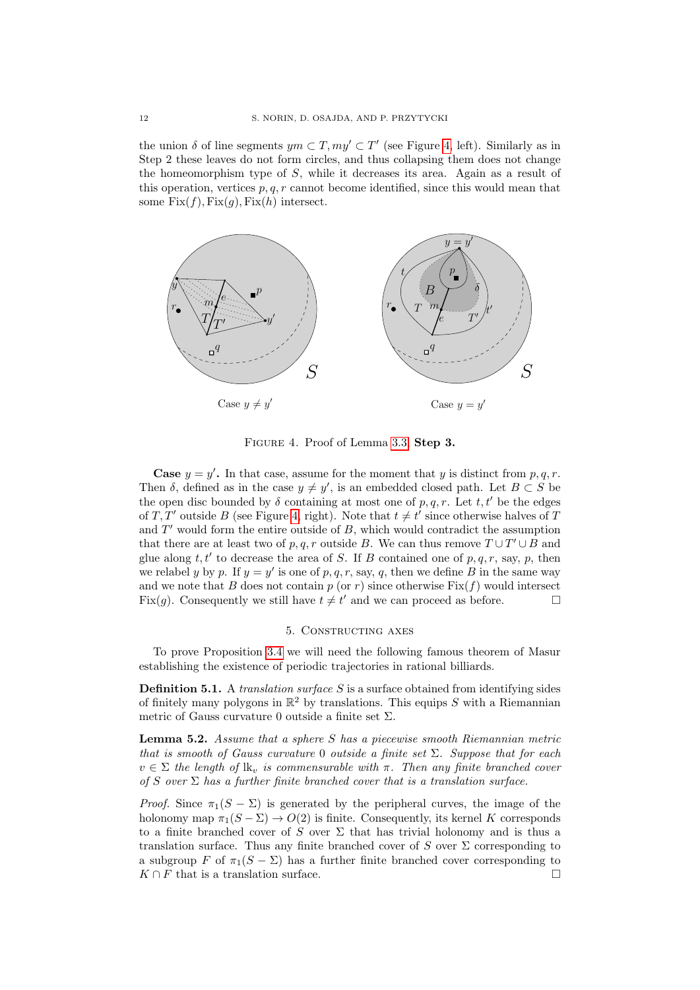the union  $\delta$  of line segments  $ym \subset T$ ,  $my' \subset T'$  (see Figure [4,](#page-11-1) left). Similarly as in Step 2 these leaves do not form circles, and thus collapsing them does not change the homeomorphism type of S, while it decreases its area. Again as a result of this operation, vertices  $p, q, r$  cannot become identified, since this would mean that some  $Fix(f), Fix(g), Fix(h)$  intersect.



<span id="page-11-1"></span>Figure 4. Proof of Lemma [3.3,](#page-7-2) **Step 3.**

**Case**  $y = y'$ . In that case, assume for the moment that y is distinct from p, q, r. Then  $\delta$ , defined as in the case  $y \neq y'$ , is an embedded closed path. Let  $B \subset S$  be the open disc bounded by  $\delta$  containing at most one of p, q, r. Let t, t' be the edges of T, T' outside B (see Figure [4,](#page-11-1) right). Note that  $t \neq t'$  since otherwise halves of T and  $T'$  would form the entire outside of  $B$ , which would contradict the assumption that there are at least two of p, q, r outside B. We can thus remove  $T \cup T' \cup B$  and glue along  $t, t'$  to decrease the area of S. If B contained one of  $p, q, r$ , say, p, then we relabel y by p. If  $y = y'$  is one of p, q, r, say, q, then we define B in the same way and we note that B does not contain p (or r) since otherwise  $Fix(f)$  would intersect Fix(g). Consequently we still have  $t \neq t'$  and we can proceed as before.

#### 5. Constructing axes

<span id="page-11-0"></span>To prove Proposition [3.4](#page-7-0) we will need the following famous theorem of Masur establishing the existence of periodic trajectories in rational billiards.

**Definition 5.1.** A *translation surface* S is a surface obtained from identifying sides of finitely many polygons in  $\mathbb{R}^2$  by translations. This equips S with a Riemannian metric of Gauss curvature 0 outside a finite set  $\Sigma$ .

<span id="page-11-2"></span>**Lemma 5.2.** *Assume that a sphere* S *has a piecewise smooth Riemannian metric that is smooth of Gauss curvature* 0 *outside a finite set* Σ*. Suppose that for each*  $v \in \Sigma$  *the length of*  $lk_v$  *is commensurable with*  $\pi$ *. Then any finite branched cover of* S *over* Σ *has a further finite branched cover that is a translation surface.*

*Proof.* Since  $\pi_1(S - \Sigma)$  is generated by the peripheral curves, the image of the holonomy map  $\pi_1(S - \Sigma) \to O(2)$  is finite. Consequently, its kernel K corresponds to a finite branched cover of S over  $\Sigma$  that has trivial holonomy and is thus a translation surface. Thus any finite branched cover of S over  $\Sigma$  corresponding to a subgroup F of  $\pi_1(S - \Sigma)$  has a further finite branched cover corresponding to  $K \cap F$  that is a translation surface.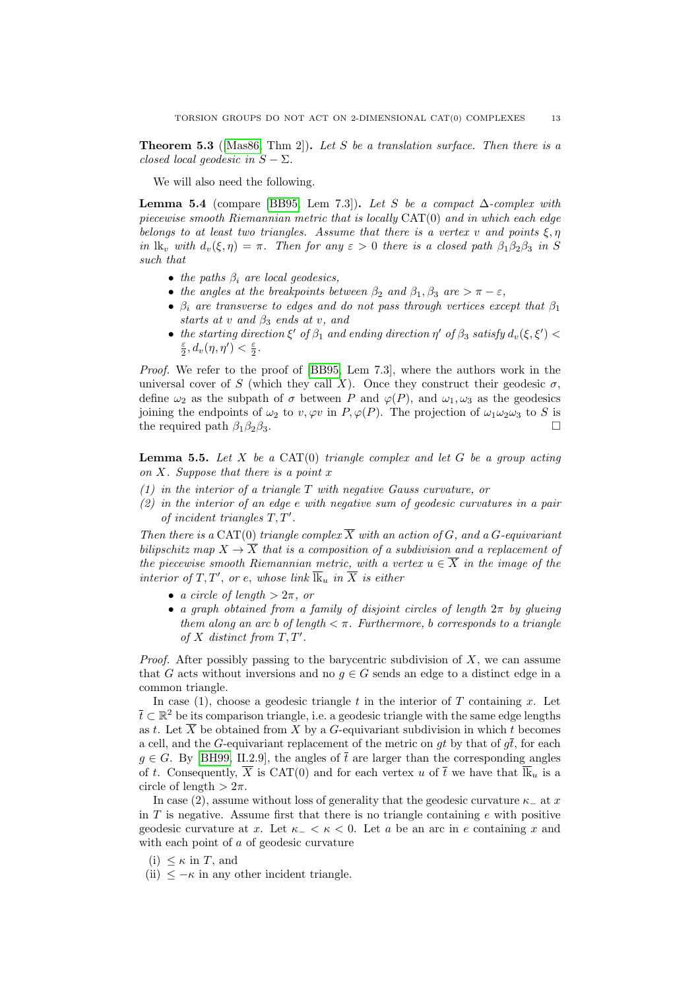<span id="page-12-1"></span>**Theorem 5.3** ([\[Mas86,](#page-25-15) Thm 2])**.** *Let* S *be a translation surface. Then there is a closed local geodesic in*  $S - \Sigma$ *.* 

We will also need the following.

<span id="page-12-2"></span>**Lemma 5.4** (compare [\[BB95,](#page-25-0) Lem 7.3]). Let S be a compact  $\Delta$ -complex with *piecewise smooth Riemannian metric that is locally* CAT(0) *and in which each edge belongs to at least two triangles. Assume that there is a vertex* v *and points*  $\xi, \eta$ *in*  $\text{lk}_v$  *with*  $d_v(\xi, \eta) = \pi$ . Then for any  $\varepsilon > 0$  *there is a closed path*  $\beta_1 \beta_2 \beta_3$  *in* S *such that*

- *the paths* β<sup>i</sup> *are local geodesics,*
- *the angles at the breakpoints between*  $\beta_2$  *and*  $\beta_1, \beta_3$  *are*  $> \pi \varepsilon$ *,*
- $\beta_i$  are transverse to edges and do not pass through vertices except that  $\beta_1$ *starts at* v *and* β<sup>3</sup> *ends at* v*, and*
- the starting direction  $\xi'$  of  $\beta_1$  and ending direction  $\eta'$  of  $\beta_3$  satisfy  $d_v(\xi, \xi')$  <  $\frac{\varepsilon}{2}, d_v(\eta, \eta') < \frac{\varepsilon}{2}.$

*Proof.* We refer to the proof of [\[BB95,](#page-25-0) Lem 7.3], where the authors work in the universal cover of S (which they call X). Once they construct their geodesic  $\sigma$ , define  $\omega_2$  as the subpath of  $\sigma$  between P and  $\varphi(P)$ , and  $\omega_1, \omega_3$  as the geodesics joining the endpoints of  $\omega_2$  to  $v, \varphi v$  in  $P, \varphi(P)$ . The projection of  $\omega_1 \omega_2 \omega_3$  to S is the required path  $\beta_1\beta_2\beta_3$ .

<span id="page-12-0"></span>**Lemma 5.5.** *Let* X *be a* CAT(0) *triangle complex and let* G *be a group acting on* X*. Suppose that there is a point* x

- *(1) in the interior of a triangle* T *with negative Gauss curvature, or*
- *(2) in the interior of an edge* e *with negative sum of geodesic curvatures in a pair of incident triangles*  $T, T'$ *.*

*Then there is a* CAT(0) *triangle complex*  $\overline{X}$  *with an action of*  $G$ *, and a*  $G$ *-equivariant bilipschitz map*  $X \to \overline{X}$  *that is a composition of a subdivision and a replacement of the piecewise smooth Riemannian metric, with a vertex*  $u \in \overline{X}$  *in the image of the interior of*  $T, T'$ , *or e*, *whose link*  $\overline{\mathbf{k}}_u$  *in*  $\overline{X}$  *is either* 

- *a circle of length*  $> 2\pi$ *, or*
- *a graph obtained from a family of disjoint circles of length* 2π *by glueing them along an arc b of length*  $\lt \pi$ *. Furthermore, b corresponds to a triangle of*  $X$  *distinct from*  $T, T'$ *.*

*Proof.* After possibly passing to the barycentric subdivision of X, we can assume that G acts without inversions and no  $q \in G$  sends an edge to a distinct edge in a common triangle.

In case (1), choose a geodesic triangle t in the interior of  $T$  containing  $x$ . Let  $\bar{t} \subset \mathbb{R}^2$  be its comparison triangle, i.e. a geodesic triangle with the same edge lengths as t. Let  $\overline{X}$  be obtained from X by a G-equivariant subdivision in which t becomes a cell, and the G-equivariant replacement of the metric on gt by that of  $q\bar{t}$ , for each  $g \in G$ . By [\[BH99,](#page-25-9) II.2.9], the angles of  $\bar{t}$  are larger than the corresponding angles of t. Consequently,  $\overline{X}$  is CAT(0) and for each vertex u of  $\overline{t}$  we have that  $\overline{\mathbb{R}}_u$  is a circle of length  $> 2\pi$ .

In case (2), assume without loss of generality that the geodesic curvature  $\kappa_-\$  at x in  $T$  is negative. Assume first that there is no triangle containing  $e$  with positive geodesic curvature at x. Let  $\kappa_-\leq \kappa\leq 0$ . Let a be an arc in e containing x and with each point of a of geodesic curvature

- (i)  $\leq \kappa$  in T, and
- (ii)  $\leq -\kappa$  in any other incident triangle.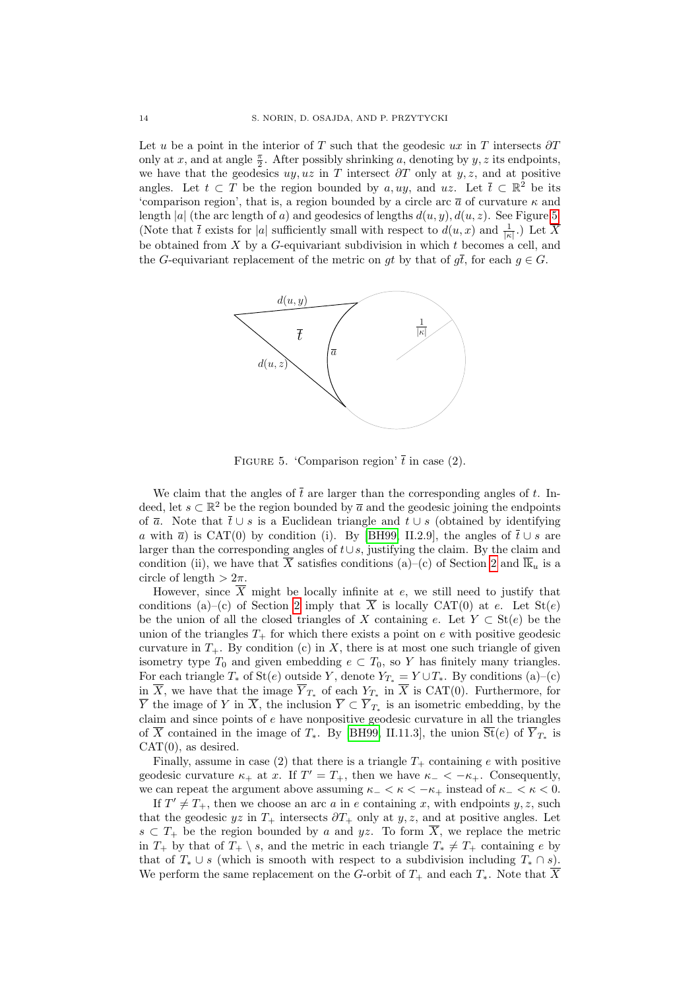Let u be a point in the interior of T such that the geodesic ux in T intersects  $\partial T$ only at x, and at angle  $\frac{\pi}{2}$ . After possibly shrinking a, denoting by y, z its endpoints, we have that the geodesics  $uy, uz$  in T intersect  $\partial T$  only at  $y, z$ , and at positive angles. Let  $t \subset T$  be the region bounded by a, uy, and uz. Let  $\overline{t} \subset \mathbb{R}^2$  be its 'comparison region', that is, a region bounded by a circle arc  $\bar{a}$  of curvature  $\kappa$  and length |a| (the arc length of a) and geodesics of lengths  $d(u, y)$ ,  $d(u, z)$ . See Figure [5.](#page-13-0) (Note that  $\bar{t}$  exists for |a| sufficiently small with respect to  $d(u, x)$  and  $\frac{1}{|\kappa|}$ .) Let  $\bar{X}$ be obtained from  $X$  by a  $G$ -equivariant subdivision in which  $t$  becomes a cell, and the G-equivariant replacement of the metric on gt by that of  $q\bar{t}$ , for each  $q \in G$ .



<span id="page-13-0"></span>FIGURE 5. 'Comparison region'  $\bar{t}$  in case (2).

We claim that the angles of  $\bar{t}$  are larger than the corresponding angles of t. Indeed, let  $s \subset \mathbb{R}^2$  be the region bounded by  $\overline{a}$  and the geodesic joining the endpoints of  $\bar{a}$ . Note that  $\bar{t} \cup s$  is a Euclidean triangle and  $t \cup s$  (obtained by identifying a with  $\bar{a}$ ) is CAT(0) by condition (i). By [\[BH99,](#page-25-9) II.2.9], the angles of  $\bar{t} \cup s$  are larger than the corresponding angles of  $t \cup s$ , justifying the claim. By the claim and condition (ii), we have that  $\overline{X}$  satisfies conditions (a)–(c) of Section [2](#page-3-0) and  $\overline{\mathbb{R}}_u$  is a circle of length  $> 2\pi$ .

However, since  $\overline{X}$  might be locally infinite at e, we still need to justify that conditions (a)–(c) of Section [2](#page-3-0) imply that  $\overline{X}$  is locally CAT(0) at e. Let  $St(e)$ be the union of all the closed triangles of X containing e. Let  $Y \subset St(e)$  be the union of the triangles  $T_{+}$  for which there exists a point on e with positive geodesic curvature in  $T_{+}$ . By condition (c) in X, there is at most one such triangle of given isometry type  $T_0$  and given embedding  $e \subset T_0$ , so Y has finitely many triangles. For each triangle  $T_*$  of  $St(e)$  outside Y, denote  $Y_{T_*} = Y \cup T_*$ . By conditions (a)–(c) in X, we have that the image  $Y_{T_*}$  of each  $Y_{T_*}$  in X is CAT(0). Furthermore, for Y the image of Y in X, the inclusion  $Y \subset Y_{T_*}$  is an isometric embedding, by the claim and since points of  $e$  have nonpositive geodesic curvature in all the triangles of X contained in the image of  $T_*$ . By [\[BH99,](#page-25-9) II.11.3], the union  $St(e)$  of  $Y_{T_*}$  is  $CAT(0)$ , as desired.

Finally, assume in case (2) that there is a triangle  $T_+$  containing e with positive geodesic curvature  $\kappa_+$  at x. If  $T' = T_+$ , then we have  $\kappa_- < -\kappa_+$ . Consequently, we can repeat the argument above assuming  $\kappa$ <sub>−</sub>  $\lt \kappa$   $\lt$  − $\kappa$ <sub>+</sub> instead of  $\kappa$ <sub>−</sub>  $\lt \kappa$   $\lt 0$ .

If  $T' \neq T_+$ , then we choose an arc a in e containing x, with endpoints y, z, such that the geodesic  $yz$  in  $T_+$  intersects  $\partial T_+$  only at  $y, z$ , and at positive angles. Let  $s \subset T_+$  be the region bounded by a and yz. To form  $\overline{X}$ , we replace the metric in  $T_+$  by that of  $T_+ \setminus s$ , and the metric in each triangle  $T_* \neq T_+$  containing e by that of  $T_* \cup s$  (which is smooth with respect to a subdivision including  $T_* \cap s$ ). We perform the same replacement on the G-orbit of  $T_+$  and each  $T_*$ . Note that  $\overline{X}$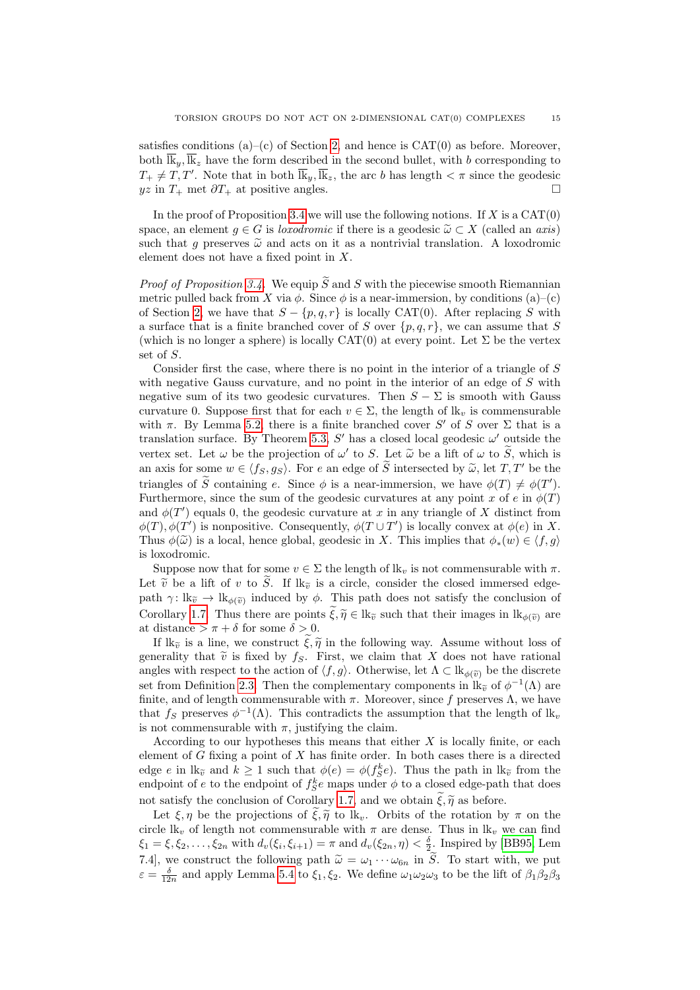satisfies conditions (a)–(c) of Section [2,](#page-3-0) and hence is  $CAT(0)$  as before. Moreover, both  $\overline{\mathbf{k}}_y$ ,  $\overline{\mathbf{k}}_z$  have the form described in the second bullet, with b corresponding to  $T_+ \neq T, T'$ . Note that in both  $\overline{\mathbb{R}}_y, \overline{\mathbb{R}}_z$ , the arc b has length  $\lt \pi$  since the geodesic  $yz$  in  $T_+$  met  $\partial T_+$  at positive angles.

In the proof of Proposition [3.4](#page-7-0) we will use the following notions. If  $X$  is a  $CAT(0)$ space, an element  $g \in G$  is *loxodromic* if there is a geodesic  $\widetilde{\omega} \subset X$  (called an *axis*) such that q preserves  $\tilde{\omega}$  and acts on it as a nontrivial translation. A loxodromic element does not have a fixed point in X.

*Proof of Proposition [3.4.](#page-7-0)* We equip  $\widetilde{S}$  and S with the piecewise smooth Riemannian metric pulled back from X via  $\phi$ . Since  $\phi$  is a near-immersion, by conditions (a)–(c) of Section [2,](#page-3-0) we have that  $S - \{p, q, r\}$  is locally CAT(0). After replacing S with a surface that is a finite branched cover of S over  $\{p, q, r\}$ , we can assume that S (which is no longer a sphere) is locally  $CAT(0)$  at every point. Let  $\Sigma$  be the vertex set of S.

Consider first the case, where there is no point in the interior of a triangle of S with negative Gauss curvature, and no point in the interior of an edge of  $S$  with negative sum of its two geodesic curvatures. Then  $S - \Sigma$  is smooth with Gauss curvature 0. Suppose first that for each  $v \in \Sigma$ , the length of  $\mathbf{k}_v$  is commensurable with  $\pi$ . By Lemma [5.2,](#page-11-2) there is a finite branched cover S' of S over  $\Sigma$  that is a translation surface. By Theorem [5.3,](#page-12-1)  $S'$  has a closed local geodesic  $\omega'$  outside the vertex set. Let  $\omega$  be the projection of  $\omega'$  to S. Let  $\tilde{\omega}$  be a lift of  $\omega$  to  $\tilde{S}$ , which is an axis for some  $w \in \langle f_S, g_S \rangle$ . For e an edge of  $\widetilde{S}$  intersected by  $\widetilde{\omega}$ , let  $T, T'$  be the triangles of  $\widetilde{S}$  containing e. Since  $\phi$  is a near-immersion, we have  $\phi(T) \neq \phi(T')$ . Furthermore, since the sum of the geodesic curvatures at any point x of e in  $\phi(T)$ and  $\phi(T')$  equals 0, the geodesic curvature at x in any triangle of X distinct from  $\phi(T), \phi(T')$  is nonpositive. Consequently,  $\phi(T \cup T')$  is locally convex at  $\phi(e)$  in X. Thus  $\phi(\tilde{\omega})$  is a local, hence global, geodesic in X. This implies that  $\phi_*(w) \in \langle f, q \rangle$ is loxodromic.

Suppose now that for some  $v \in \Sigma$  the length of  $lk_v$  is not commensurable with  $\pi$ . Let  $\tilde{v}$  be a lift of v to  $\tilde{S}$ . If  $lk_{\tilde{v}}$  is a circle, consider the closed immersed edgepath  $\gamma: \mathbb{R}_{\tilde{v}} \to \mathbb{R}_{\phi(\tilde{v})}$  induced by  $\phi$ . This path does not satisfy the conclusion of Corollary [1.7.](#page-2-3) Thus there are points  $\widetilde{\xi}, \widetilde{\eta} \in \mathbb{R}$  such that their images in  $\mathbb{R}_{\phi(\widetilde{\eta})}$  are at distance  $>\pi+\delta$  for some  $\delta>0$ .

If  $lk_{\tilde{v}}$  is a line, we construct  $\xi,\tilde{\eta}$  in the following way. Assume without loss of generality that  $\tilde{v}$  is fixed by  $f_S$ . First, we claim that X does not have rational angles with respect to the action of  $\langle f, g \rangle$ . Otherwise, let  $\Lambda \subset \mathbb{R}_{\phi(\widetilde{v})}$  be the discrete set from Definition [2.3.](#page-5-0) Then the complementary components in  $\mathbb{R}_{\tilde{v}}$  of  $\phi^{-1}(\Lambda)$  are finite, and of length commensurable with  $\pi$ . Moreover, since f preserves  $\Lambda$ , we have that  $f_S$  preserves  $\phi^{-1}(\Lambda)$ . This contradicts the assumption that the length of  $lk_{\iota}$ is not commensurable with  $\pi$ , justifying the claim.

According to our hypotheses this means that either  $X$  is locally finite, or each element of  $G$  fixing a point of  $X$  has finite order. In both cases there is a directed edge e in lk<sub> $\tilde{v}$ </sub> and  $k \ge 1$  such that  $\phi(e) = \phi(f_S^k e)$ . Thus the path in lk<sub> $\tilde{v}$ </sub> from the endpoint of  $e$  to the endpoint of  $f_S^k e$  maps under  $\phi$  to a closed edge-path that does not satisfy the conclusion of Corollary [1.7,](#page-2-3) and we obtain  $\tilde{\xi}, \tilde{\eta}$  as before.

Let  $\xi, \eta$  be the projections of  $\tilde{\xi}, \tilde{\eta}$  to lk<sub>v</sub>. Orbits of the rotation by  $\pi$  on the circle lk<sub>v</sub> of length not commensurable with  $\pi$  are dense. Thus in lk<sub>v</sub> we can find  $\xi_1 = \xi, \xi_2, \dots, \xi_{2n}$  with  $d_v(\xi_i, \xi_{i+1}) = \pi$  and  $d_v(\xi_{2n}, \eta) < \frac{\delta}{2}$ . Inspired by [\[BB95,](#page-25-0) Lem 7.4], we construct the following path  $\tilde{\omega} = \omega_1 \cdots \omega_{6n}$  in  $\tilde{S}$ . To start with, we put  $\varepsilon = \frac{\delta}{12n}$  and apply Lemma [5.4](#page-12-2) to  $\xi_1, \xi_2$ . We define  $\omega_1 \omega_2 \omega_3$  to be the lift of  $\beta_1 \beta_2 \beta_3$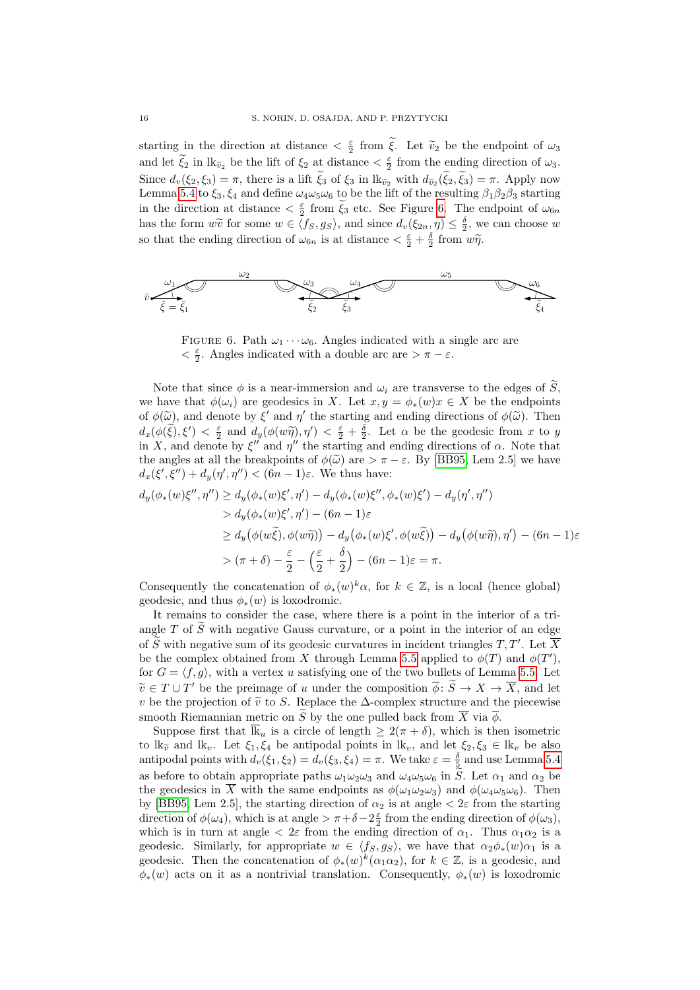starting in the direction at distance  $\langle \xi \rangle$  from  $\tilde{\xi}$ . Let  $\tilde{v}_2$  be the endpoint of  $\omega_3$ and let  $\tilde{\xi}_2$  in  $\operatorname{lk}_{\tilde{\nu}_2}$  be the lift of  $\xi_2$  at distance  $\leq \frac{\varepsilon}{2}$  from the ending direction of  $\omega_3$ . Since  $d_v(\xi_2, \xi_3) = \pi$ , there is a lift  $\xi_3$  of  $\xi_3$  in  $\text{lk}_{\tilde{v}_2}$  with  $d_{\tilde{v}_2}(\xi_2, \xi_3) = \pi$ . Apply now Lemma [5.4](#page-12-2) to  $\xi_3, \xi_4$  and define  $\omega_4\omega_5\omega_6$  to be the lift of the resulting  $\beta_1\beta_2\beta_3$  starting in the direction at distance  $\langle \xi \rangle$  from  $\tilde{\xi}_3$  etc. See Figure [6.](#page-15-0) The endpoint of  $\omega_{6n}$ has the form  $w\tilde{v}$  for some  $w \in \langle f_S, g_S \rangle$ , and since  $d_v(\xi_{2n}, \eta) \leq \frac{\delta}{2}$ , we can choose w so that the ending direction of  $\omega_{6n}$  is at distance  $\langle \frac{\varepsilon}{2} + \frac{\delta}{2} \text{ from } w\tilde{\eta} \rangle$ .



<span id="page-15-0"></span>FIGURE 6. Path  $\omega_1 \cdots \omega_6$ . Angles indicated with a single arc are  $<\frac{\varepsilon}{2}.$  Angles indicated with a double arc are  $>\pi-\varepsilon.$ 

Note that since  $\phi$  is a near-immersion and  $\omega_i$  are transverse to the edges of  $\widetilde{S}$ . we have that  $\phi(\omega_i)$  are geodesics in X. Let  $x, y = \phi_*(w)x \in X$  be the endpoints of  $\phi(\tilde{\omega})$ , and denote by  $\xi'$  and  $\eta'$  the starting and ending directions of  $\phi(\tilde{\omega})$ . Then<br>definitions of  $\phi(\tilde{\omega})$  is  $\xi'$  and defining  $\eta'$  of  $\xi'$  and  $\xi'$  and  $\xi'$  and the speaker from  $\xi$  and  $d_x(\phi(\tilde{\xi}), \xi') < \frac{\varepsilon}{2}$  and  $d_y(\phi(w\tilde{\eta}), \eta') < \frac{\varepsilon}{2} + \frac{\delta}{2}$ . Let  $\alpha$  be the geodesic from x to y in X, and denote by  $\xi''$  and  $\eta''$  the starting and ending directions of  $\alpha$ . Note that the angles at all the breakpoints of  $\phi(\tilde{\omega})$  are  $\tau - \varepsilon$ . By [\[BB95,](#page-25-0) Lem 2.5] we have  $d_x(\xi', \xi'') + d_y(\eta', \eta'') < (6n - 1)\varepsilon$ . We thus have:

$$
d_y(\phi_*(w)\xi'', \eta'') \ge d_y(\phi_*(w)\xi', \eta') - d_y(\phi_*(w)\xi'', \phi_*(w)\xi') - d_y(\eta', \eta'')
$$
  
> 
$$
d_y(\phi_*(w)\xi', \eta') - (6n - 1)\varepsilon
$$
  

$$
\ge d_y(\phi(w\tilde{\xi}), \phi(w\tilde{\eta})) - d_y(\phi_*(w)\xi', \phi(w\tilde{\xi})) - d_y(\phi(w\tilde{\eta}), \eta') - (6n - 1)\varepsilon
$$
  
> 
$$
(\pi + \delta) - \frac{\varepsilon}{2} - \left(\frac{\varepsilon}{2} + \frac{\delta}{2}\right) - (6n - 1)\varepsilon = \pi.
$$

Consequently the concatenation of  $\phi_*(w)^k \alpha$ , for  $k \in \mathbb{Z}$ , is a local (hence global) geodesic, and thus  $\phi_*(w)$  is loxodromic.

It remains to consider the case, where there is a point in the interior of a triangle  $T$  of  $S$  with negative Gauss curvature, or a point in the interior of an edge of  $\widetilde{S}$  with negative sum of its geodesic curvatures in incident triangles  $T, T'$ . Let  $\overline{X}$ be the complex obtained from X through Lemma [5.5](#page-12-0) applied to  $\phi(T)$  and  $\phi(T')$ , for  $G = \langle f, g \rangle$ , with a vertex u satisfying one of the two bullets of Lemma [5.5.](#page-12-0) Let  $\widetilde{v} \in T \cup T'$  be the preimage of u under the composition  $\overline{\phi}$ :  $\widetilde{S} \to X \to \overline{X}$ , and let  $v$  be the prejection of  $\widetilde{\phi}$  to  $S$ . Benham the  $\Lambda$  complex structure and the piecewise v be the projection of  $\tilde{v}$  to S. Replace the ∆-complex structure and the piecewise smooth Riemannian metric on  $\widetilde{S}$  by the one pulled back from  $\overline{X}$  via  $\overline{\phi}$ .

Suppose first that  $\overline{\mathbb{R}}_u$  is a circle of length  $\geq 2(\pi + \delta)$ , which is then isometric to  $lk_{\tilde{v}}$  and  $lk_v$ . Let  $\xi_1, \xi_4$  be antipodal points in  $lk_v$ , and let  $\xi_2, \xi_3 \in lk_v$  be also antipodal points with  $d_v(\xi_1, \xi_2) = d_v(\xi_3, \xi_4) = \pi$ . We take  $\varepsilon = \frac{\delta}{5}$  and use Lemma [5.4](#page-12-2) as before to obtain appropriate paths  $\omega_1\omega_2\omega_3$  and  $\omega_4\omega_5\omega_6$  in S. Let  $\alpha_1$  and  $\alpha_2$  be the geodesics in  $\overline{X}$  with the same endpoints as  $\phi(\omega_1\omega_2\omega_3)$  and  $\phi(\omega_4\omega_5\omega_6)$ . Then by [\[BB95,](#page-25-0) Lem 2.5], the starting direction of  $\alpha_2$  is at angle  $\lt 2\varepsilon$  from the starting direction of  $\phi(\omega_4)$ , which is at angle  $\geq \pi + \delta - 2\frac{\varepsilon}{2}$  from the ending direction of  $\phi(\omega_3)$ , which is in turn at angle  $\langle 2\varepsilon \rangle$  from the ending direction of  $\alpha_1$ . Thus  $\alpha_1 \alpha_2$  is a geodesic. Similarly, for appropriate  $w \in \langle f_S, g_S \rangle$ , we have that  $\alpha_2 \phi_*(w) \alpha_1$  is a geodesic. Then the concatenation of  $\phi_*(w)^k(\alpha_1\alpha_2)$ , for  $k \in \mathbb{Z}$ , is a geodesic, and  $\phi_*(w)$  acts on it as a nontrivial translation. Consequently,  $\phi_*(w)$  is loxodromic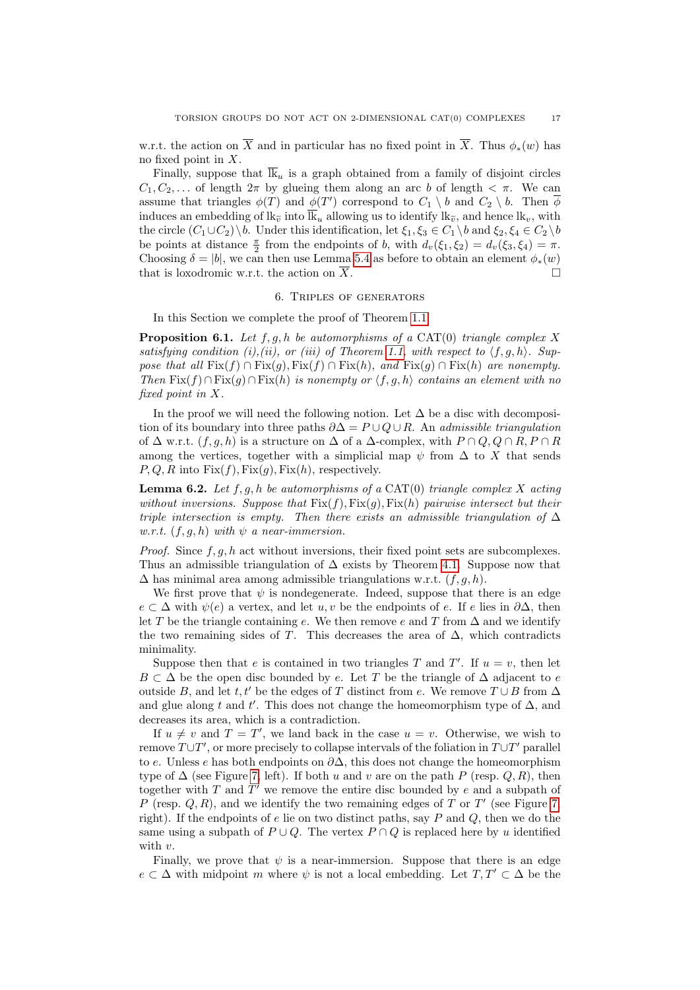w.r.t. the action on  $\overline{X}$  and in particular has no fixed point in  $\overline{X}$ . Thus  $\phi_*(w)$  has no fixed point in X.

Finally, suppose that  $\overline{\mathbb{R}}_u$  is a graph obtained from a family of disjoint circles  $C_1, C_2, \ldots$  of length  $2\pi$  by glueing them along an arc b of length  $\lt \pi$ . We can assume that triangles  $\phi(T)$  and  $\phi(T')$  correspond to  $C_1 \setminus b$  and  $C_2 \setminus b$ . Then  $\overline{\phi}$ induces an embedding of  $lk_{\tilde{v}}$  into  $\overline{lk}_u$  allowing us to identify  $lk_{\tilde{v}}$ , and hence  $lk_v$ , with the circle  $(C_1 \cup C_2) \backslash b$ . Under this identification, let  $\xi_1, \xi_3 \in C_1 \backslash b$  and  $\xi_2, \xi_4 \in C_2 \backslash b$ be points at distance  $\frac{\pi}{2}$  from the endpoints of b, with  $d_v(\xi_1, \xi_2) = d_v(\xi_3, \xi_4) = \pi$ . Choosing  $\delta = |b|$ , we can then use Lemma [5.4](#page-12-2) as before to obtain an element  $\phi_*(w)$ that is loxodromic w.r.t. the action on X.  $\Box$ 

#### 6. Triples of generators

<span id="page-16-0"></span>In this Section we complete the proof of Theorem [1.1.](#page-1-0)

<span id="page-16-2"></span>**Proposition 6.1.** *Let* f, g, h *be automorphisms of a* CAT(0) *triangle complex* X satisfying condition (i),(ii), or (iii) of Theorem [1.1,](#page-1-0) with respect to  $\langle f, g, h \rangle$ . Sup*pose that all*  $Fix(f) \cap Fix(g), Fix(f) \cap Fix(h),$  *and*  $Fix(g) \cap Fix(h)$  *are nonempty. Then*  $Fix(f) ∩ Fix(g) ∩ Fix(h)$  *is nonempty or*  $\langle f, g, h \rangle$  *contains an element with no fixed point in* X*.*

In the proof we will need the following notion. Let  $\Delta$  be a disc with decomposition of its boundary into three paths ∂∆ = P ∪ Q ∪ R. An *admissible triangulation* of  $\Delta$  w.r.t.  $(f, g, h)$  is a structure on  $\Delta$  of a  $\Delta$ -complex, with  $P \cap Q, Q \cap R, P \cap R$ among the vertices, together with a simplicial map  $\psi$  from  $\Delta$  to X that sends  $P, Q, R$  into  $Fix(f), Fix(g), Fix(h)$ , respectively.

<span id="page-16-1"></span>**Lemma 6.2.** *Let* f, g, h *be automorphisms of a* CAT(0) *triangle complex* X *acting without inversions. Suppose that*  $Fix(f), Fix(g), Fix(h)$  *pairwise intersect but their triple intersection is empty. Then there exists an admissible triangulation of* ∆ *w.r.t.*  $(f, g, h)$  *with*  $\psi$  *a near-immersion.* 

*Proof.* Since  $f, q, h$  act without inversions, their fixed point sets are subcomplexes. Thus an admissible triangulation of  $\Delta$  exists by Theorem [4.1.](#page-8-1) Suppose now that  $\Delta$  has minimal area among admissible triangulations w.r.t.  $(f, g, h)$ .

We first prove that  $\psi$  is nondegenerate. Indeed, suppose that there is an edge  $e \subset \Delta$  with  $\psi(e)$  a vertex, and let  $u, v$  be the endpoints of e. If e lies in  $\partial \Delta$ , then let T be the triangle containing e. We then remove e and T from  $\Delta$  and we identify the two remaining sides of T. This decreases the area of  $\Delta$ , which contradicts minimality.

Suppose then that e is contained in two triangles T and T'. If  $u = v$ , then let  $B \subset \Delta$  be the open disc bounded by e. Let T be the triangle of  $\Delta$  adjacent to e outside B, and let t, t' be the edges of T distinct from e. We remove  $T \cup B$  from  $\Delta$ and glue along t and t'. This does not change the homeomorphism type of  $\Delta$ , and decreases its area, which is a contradiction.

If  $u \neq v$  and  $T = T'$ , we land back in the case  $u = v$ . Otherwise, we wish to remove  $T \cup T'$ , or more precisely to collapse intervals of the foliation in  $T \cup T'$  parallel to e. Unless e has both endpoints on  $\partial\Delta$ , this does not change the homeomorphism type of  $\Delta$  (see Figure [7,](#page-17-0) left). If both u and v are on the path P (resp. Q, R), then together with  $T$  and  $T'$  we remove the entire disc bounded by  $e$  and a subpath of P (resp.  $Q, R$ ), and we identify the two remaining edges of T or T' (see Figure [7,](#page-17-0) right). If the endpoints of e lie on two distinct paths, say  $P$  and  $Q$ , then we do the same using a subpath of  $P \cup Q$ . The vertex  $P \cap Q$  is replaced here by u identified with  $v$ .

Finally, we prove that  $\psi$  is a near-immersion. Suppose that there is an edge  $e \subset \Delta$  with midpoint m where  $\psi$  is not a local embedding. Let  $T, T' \subset \Delta$  be the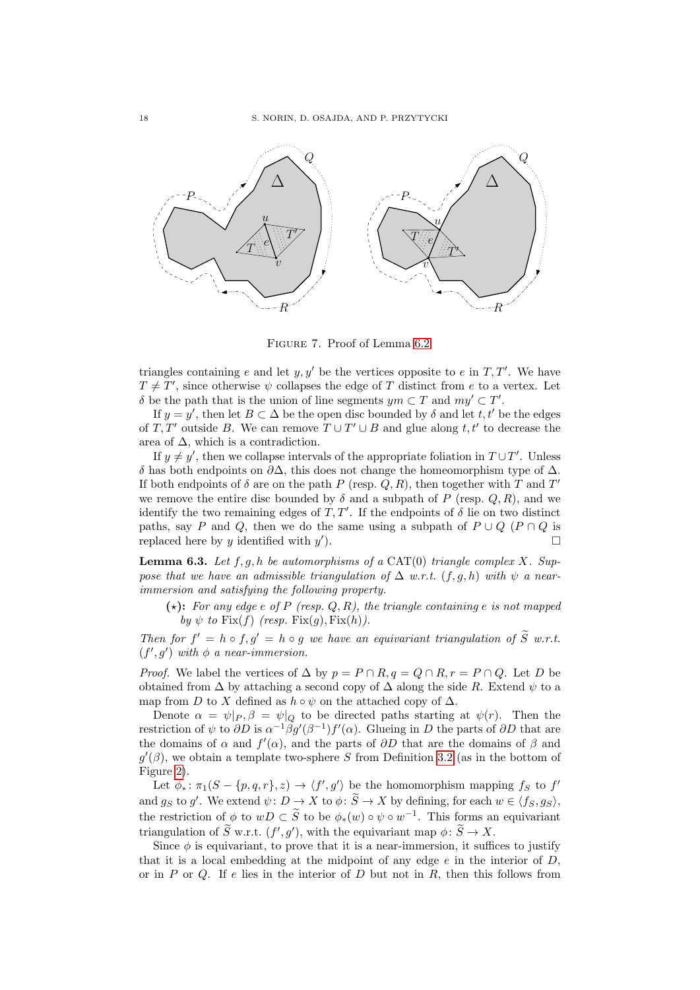

<span id="page-17-0"></span>Figure 7. Proof of Lemma [6.2.](#page-16-1)

triangles containing e and let  $y, y'$  be the vertices opposite to e in  $T, T'$ . We have  $T \neq T'$ , since otherwise  $\psi$  collapses the edge of T distinct from e to a vertex. Let δ be the path that is the union of line segments  $ym \subset T$  and  $my' \subset T'$ .

If  $y = y'$ , then let  $B \subset \Delta$  be the open disc bounded by  $\delta$  and let  $t, t'$  be the edges of T, T' outside B. We can remove  $T \cup T' \cup B$  and glue along t, t' to decrease the area of  $\Delta$ , which is a contradiction.

If  $y \neq y'$ , then we collapse intervals of the appropriate foliation in  $T \cup T'$ . Unless δ has both endpoints on ∂∆, this does not change the homeomorphism type of ∆. If both endpoints of  $\delta$  are on the path P (resp. Q, R), then together with T and T' we remove the entire disc bounded by  $\delta$  and a subpath of P (resp. Q, R), and we identify the two remaining edges of  $T, T'$ . If the endpoints of  $\delta$  lie on two distinct paths, say P and Q, then we do the same using a subpath of  $P \cup Q$  ( $P \cap Q$  is replaced here by  $y$  identified with  $y'$  $\Box$ 

<span id="page-17-1"></span>**Lemma 6.3.** Let  $f, g, h$  be automorphisms of a CAT(0) triangle complex X. Sup*pose that we have an admissible triangulation of*  $\Delta$  *w.r.t.* (*f, g, h*) *with*  $\psi$  *a nearimmersion and satisfying the following property.*

 $(\star)$ : For any edge e of P (resp. Q, R), the triangle containing e is not mapped *by*  $\psi$  *to* Fix(*f*) *(resp.* Fix(*g*), Fix(*h*)).

*Then for*  $f' = h \circ f, g' = h \circ g$  *we have an equivariant triangulation of*  $\tilde{S}$  *w.r.t.*  $(f', g')$  *with*  $\phi$  *a near-immersion.* 

*Proof.* We label the vertices of  $\Delta$  by  $p = P \cap R$ ,  $q = Q \cap R$ ,  $r = P \cap Q$ . Let D be obtained from  $\Delta$  by attaching a second copy of  $\Delta$  along the side R. Extend  $\psi$  to a map from D to X defined as  $h \circ \psi$  on the attached copy of  $\Delta$ .

Denote  $\alpha = \psi|_P, \beta = \psi|_Q$  to be directed paths starting at  $\psi(r)$ . Then the restriction of  $\psi$  to  $\partial D$  is  $\alpha^{-1}\beta g'(\beta^{-1})f'(\alpha)$ . Glueing in D the parts of  $\partial D$  that are the domains of  $\alpha$  and  $f'(\alpha)$ , and the parts of  $\partial D$  that are the domains of  $\beta$  and  $g'(\beta)$ , we obtain a template two-sphere S from Definition [3.2](#page-6-3) (as in the bottom of Figure [2\)](#page-9-0).

Let  $\phi_* \colon \pi_1(S - \{p, q, r\}, z) \to \langle f', g' \rangle$  be the homomorphism mapping  $f_S$  to  $f'$ and  $g_S$  to g'. We extend  $\psi: D \to X$  to  $\phi: \widetilde{S} \to X$  by defining, for each  $w \in \langle f_S, g_S \rangle$ , the restriction of  $\phi$  to  $wD \subset \tilde{S}$  to be  $\phi_*(w) \circ \psi \circ w^{-1}$ . This forms an equivariant triangulation of  $\widetilde{S}$  w.r.t.  $(f', g')$ , with the equivariant map  $\phi \colon \widetilde{S} \to X$ .

Since  $\phi$  is equivariant, to prove that it is a near-immersion, it suffices to justify that it is a local embedding at the midpoint of any edge  $e$  in the interior of  $D$ . or in  $P$  or  $Q$ . If  $e$  lies in the interior of  $D$  but not in  $R$ , then this follows from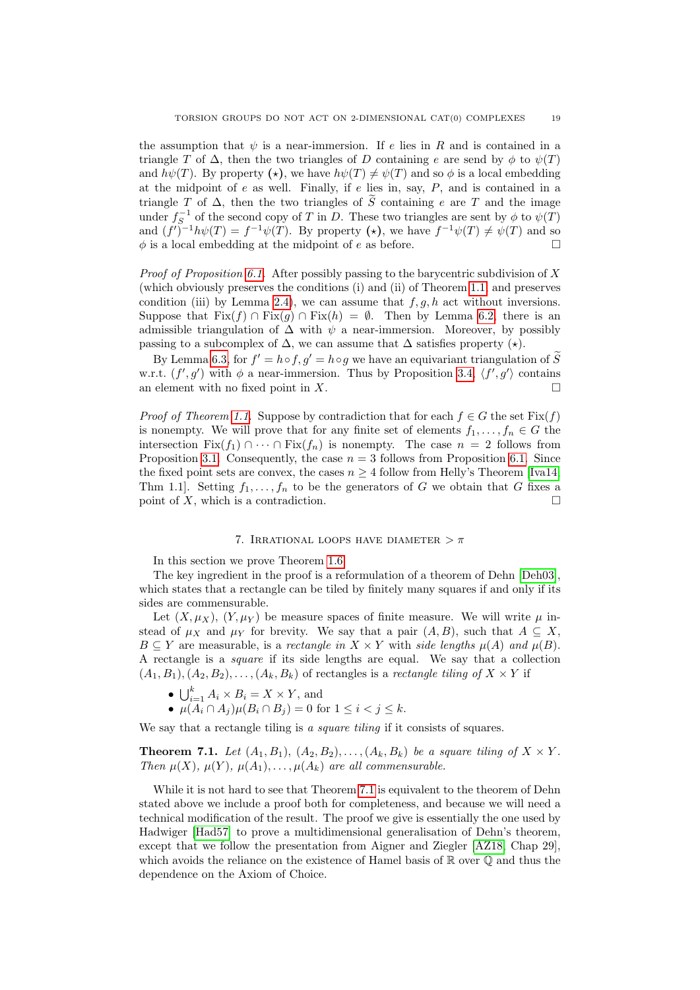the assumption that  $\psi$  is a near-immersion. If e lies in R and is contained in a triangle T of  $\Delta$ , then the two triangles of D containing e are send by  $\phi$  to  $\psi(T)$ and  $h\psi(T)$ . By property ( $\star$ ), we have  $h\psi(T) \neq \psi(T)$  and so  $\phi$  is a local embedding at the midpoint of  $e$  as well. Finally, if  $e$  lies in, say,  $P$ , and is contained in a triangle T of  $\Delta$ , then the two triangles of  $\widetilde{S}$  containing e are T and the image under  $f_S^{-1}$  of the second copy of T in D. These two triangles are sent by  $\phi$  to  $\psi(T)$ and  $(f')^{-1}h\psi(T) = f^{-1}\psi(T)$ . By property  $(\star)$ , we have  $f^{-1}\psi(T) \neq \psi(T)$  and so  $\phi$  is a local embedding at the midpoint of e as before.

*Proof of Proposition [6.1.](#page-16-2)* After possibly passing to the barycentric subdivision of X (which obviously preserves the conditions (i) and (ii) of Theorem [1.1,](#page-1-0) and preserves condition (iii) by Lemma [2.4\)](#page-5-1), we can assume that  $f, g, h$  act without inversions. Suppose that  $Fix(f) \cap Fix(q) \cap Fix(h) = \emptyset$ . Then by Lemma [6.2,](#page-16-1) there is an admissible triangulation of  $\Delta$  with  $\psi$  a near-immersion. Moreover, by possibly passing to a subcomplex of  $\Delta$ , we can assume that  $\Delta$  satisfies property  $(\star)$ .

By Lemma [6.3,](#page-17-1) for  $f' = h \circ f$ ,  $g' = h \circ g$  we have an equivariant triangulation of  $\widetilde{S}$ w.r.t.  $(f', g')$  with  $\phi$  a near-immersion. Thus by Proposition [3.4,](#page-7-0)  $\langle f', g' \rangle$  contains an element with no fixed point in  $X$ .

*Proof of Theorem [1.1.](#page-1-0)* Suppose by contradiction that for each  $f \in G$  the set  $Fix(f)$ is nonempty. We will prove that for any finite set of elements  $f_1, \ldots, f_n \in G$  the intersection Fix(f<sub>1</sub>) ∩ · · · ∩ Fix(f<sub>n</sub>) is nonempty. The case  $n = 2$  follows from Proposition [3.1.](#page-6-2) Consequently, the case  $n = 3$  follows from Proposition [6.1.](#page-16-2) Since the fixed point sets are convex, the cases  $n \geq 4$  follow from Helly's Theorem [\[Iva14,](#page-25-21) Thm 1.1. Setting  $f_1, \ldots, f_n$  to be the generators of G we obtain that G fixes a point of X, which is a contradiction.  $\Box$ 

#### 7. IRRATIONAL LOOPS HAVE DIAMETER  $>\pi$

<span id="page-18-0"></span>In this section we prove Theorem [1.6.](#page-2-2)

The key ingredient in the proof is a reformulation of a theorem of Dehn [\[Deh03\]](#page-25-18), which states that a rectangle can be tiled by finitely many squares if and only if its sides are commensurable.

Let  $(X, \mu_X)$ ,  $(Y, \mu_Y)$  be measure spaces of finite measure. We will write  $\mu$  instead of  $\mu_X$  and  $\mu_Y$  for brevity. We say that a pair  $(A, B)$ , such that  $A \subseteq X$ , B  $\subseteq$  Y are measurable, is a *rectangle in*  $X \times Y$  with *side lengths*  $\mu(A)$  *and*  $\mu(B)$ . A rectangle is a *square* if its side lengths are equal. We say that a collection  $(A_1, B_1), (A_2, B_2), \ldots, (A_k, B_k)$  of rectangles is a *rectangle tiling of*  $X \times Y$  if

- $\bigcup_{i=1}^k A_i \times B_i = X \times Y$ , and
- $\mu(A_i \cap A_j) \mu(B_i \cap B_j) = 0$  for  $1 \le i < j \le k$ .

We say that a rectangle tiling is *a square tiling* if it consists of squares.

<span id="page-18-1"></span>**Theorem 7.1.** *Let*  $(A_1, B_1)$ ,  $(A_2, B_2)$ , ...,  $(A_k, B_k)$  *be a square tiling of*  $X \times Y$ *. Then*  $\mu(X)$ ,  $\mu(Y)$ ,  $\mu(A_1)$ , ...,  $\mu(A_k)$  *are all commensurable.* 

While it is not hard to see that Theorem [7.1](#page-18-1) is equivalent to the theorem of Dehn stated above we include a proof both for completeness, and because we will need a technical modification of the result. The proof we give is essentially the one used by Hadwiger [\[Had57\]](#page-25-22) to prove a multidimensional generalisation of Dehn's theorem, except that we follow the presentation from Aigner and Ziegler [\[AZ18,](#page-25-23) Chap 29], which avoids the reliance on the existence of Hamel basis of  $\mathbb R$  over  $\mathbb Q$  and thus the dependence on the Axiom of Choice.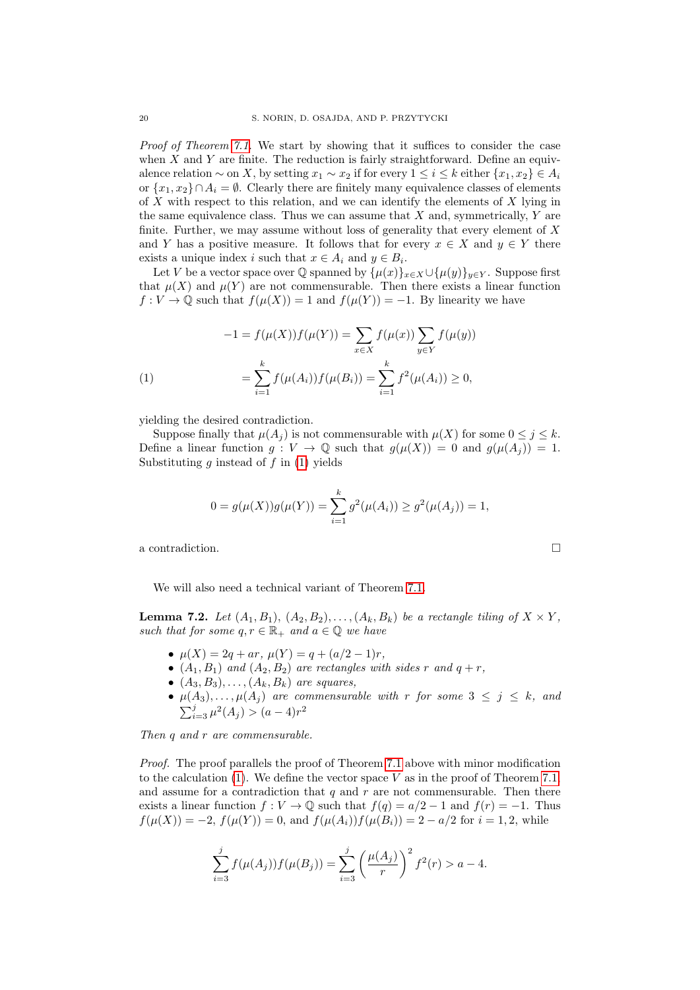*Proof of Theorem [7.1.](#page-18-1)* We start by showing that it suffices to consider the case when  $X$  and  $Y$  are finite. The reduction is fairly straightforward. Define an equivalence relation  $\sim$  on X, by setting  $x_1 \sim x_2$  if for every  $1 \leq i \leq k$  either  $\{x_1, x_2\} \in A_i$ or  $\{x_1, x_2\} \cap A_i = \emptyset$ . Clearly there are finitely many equivalence classes of elements of X with respect to this relation, and we can identify the elements of X lying in the same equivalence class. Thus we can assume that  $X$  and, symmetrically,  $Y$  are finite. Further, we may assume without loss of generality that every element of X and Y has a positive measure. It follows that for every  $x \in X$  and  $y \in Y$  there exists a unique index i such that  $x \in A_i$  and  $y \in B_i$ .

Let V be a vector space over Q spanned by  $\{\mu(x)\}_{x\in X}\cup \{\mu(y)\}_{y\in Y}$ . Suppose first that  $\mu(X)$  and  $\mu(Y)$  are not commensurable. Then there exists a linear function  $f: V \to \mathbb{Q}$  such that  $f(\mu(X)) = 1$  and  $f(\mu(Y)) = -1$ . By linearity we have

<span id="page-19-0"></span>(1)  
\n
$$
-1 = f(\mu(X))f(\mu(Y)) = \sum_{x \in X} f(\mu(x)) \sum_{y \in Y} f(\mu(y))
$$
\n
$$
= \sum_{i=1}^{k} f(\mu(A_i))f(\mu(B_i)) = \sum_{i=1}^{k} f^2(\mu(A_i)) \ge 0,
$$

yielding the desired contradiction.

Suppose finally that  $\mu(A_i)$  is not commensurable with  $\mu(X)$  for some  $0 \leq j \leq k$ . Define a linear function  $g: V \to \mathbb{Q}$  such that  $g(\mu(X)) = 0$  and  $g(\mu(A_i)) = 1$ . Substituting  $g$  instead of  $f$  in  $(1)$  yields

$$
0 = g(\mu(X))g(\mu(Y)) = \sum_{i=1}^{k} g^{2}(\mu(A_{i})) \ge g^{2}(\mu(A_{j})) = 1,
$$

a contradiction.

We will also need a technical variant of Theorem [7.1.](#page-18-1)

<span id="page-19-1"></span>**Lemma 7.2.** *Let*  $(A_1, B_1)$ ,  $(A_2, B_2)$ ,  $\ldots$ ,  $(A_k, B_k)$  *be a rectangle tiling of*  $X \times Y$ *, such that for some*  $q, r \in \mathbb{R}_+$  *and*  $a \in \mathbb{Q}$  *we have* 

- $μ(X) = 2q + ar, μ(Y) = q + (a/2 1)r,$
- $(A_1, B_1)$  *and*  $(A_2, B_2)$  *are rectangles with sides* r *and*  $q + r$ *,*
- $\bullet$   $(A_3, B_3), \ldots, (A_k, B_k)$  *are squares,*
- $\mu(A_3), \ldots, \mu(A_j)$  *are commensurable with* r *for some*  $3 \leq j \leq k$ *, and*  $\sum_{i=3}^{j} \mu^2(A_j) > (a-4)r^2$

*Then* q *and* r *are commensurable.*

*Proof.* The proof parallels the proof of Theorem [7.1](#page-18-1) above with minor modification to the calculation  $(1)$ . We define the vector space V as in the proof of Theorem [7.1,](#page-18-1) and assume for a contradiction that  $q$  and  $r$  are not commensurable. Then there exists a linear function  $f: V \to \mathbb{Q}$  such that  $f(q) = a/2 - 1$  and  $f(r) = -1$ . Thus  $f(\mu(X)) = -2$ ,  $f(\mu(Y)) = 0$ , and  $f(\mu(A_i))f(\mu(B_i)) = 2 - a/2$  for  $i = 1, 2$ , while

$$
\sum_{i=3}^{j} f(\mu(A_j)) f(\mu(B_j)) = \sum_{i=3}^{j} \left(\frac{\mu(A_j)}{r}\right)^2 f^2(r) > a - 4.
$$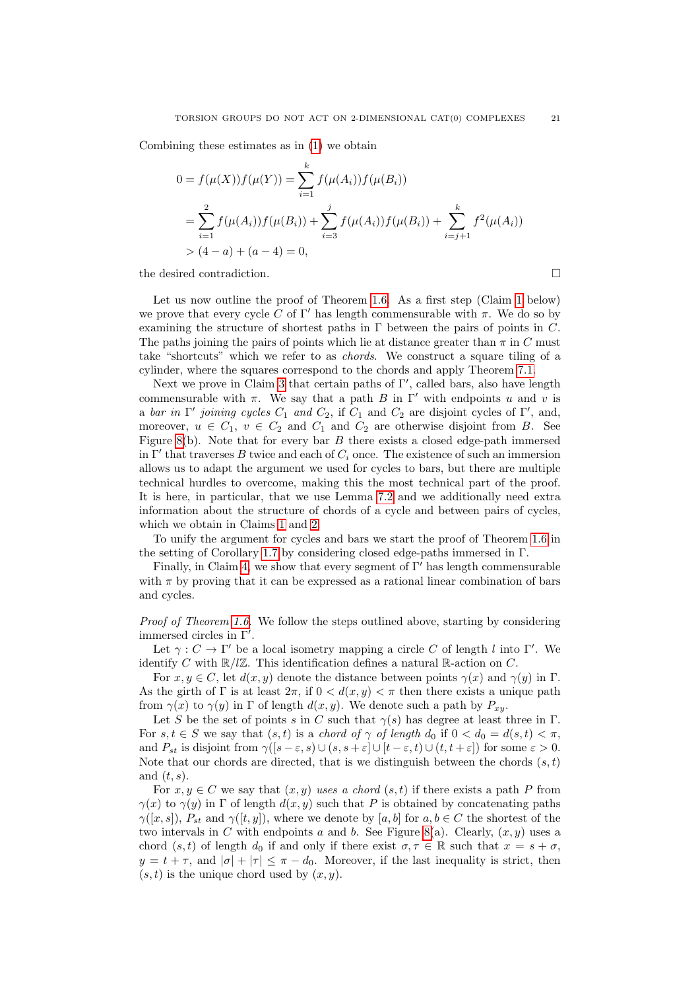Combining these estimates as in [\(1\)](#page-19-0) we obtain

$$
0 = f(\mu(X))f(\mu(Y)) = \sum_{i=1}^{k} f(\mu(A_i))f(\mu(B_i))
$$
  
= 
$$
\sum_{i=1}^{2} f(\mu(A_i))f(\mu(B_i)) + \sum_{i=3}^{j} f(\mu(A_i))f(\mu(B_i)) + \sum_{i=j+1}^{k} f^{2}(\mu(A_i))
$$
  
> 
$$
(4 - a) + (a - 4) = 0,
$$

the desired contradiction.  $\Box$ 

Let us now outline the proof of Theorem [1.6.](#page-2-2) As a first step (Claim [1](#page-21-0) below) we prove that every cycle C of  $\Gamma'$  has length commensurable with  $\pi$ . We do so by examining the structure of shortest paths in  $\Gamma$  between the pairs of points in  $C$ . The paths joining the pairs of points which lie at distance greater than  $\pi$  in C must take "shortcuts" which we refer to as *chords*. We construct a square tiling of a cylinder, where the squares correspond to the chords and apply Theorem [7.1.](#page-18-1)

Next we prove in Claim [3](#page-22-0) that certain paths of Γ', called bars, also have length commensurable with  $\pi$ . We say that a path B in Γ' with endpoints u and v is a *bar in*  $\Gamma'$  *joining cycles*  $C_1$  *and*  $C_2$ , if  $C_1$  and  $C_2$  are disjoint cycles of  $\Gamma'$ , and, moreover,  $u \in C_1$ ,  $v \in C_2$  and  $C_1$  and  $C_2$  are otherwise disjoint from B. See Figure [8\(](#page-21-1)b). Note that for every bar  $B$  there exists a closed edge-path immersed in  $\Gamma'$  that traverses B twice and each of  $C_i$  once. The existence of such an immersion allows us to adapt the argument we used for cycles to bars, but there are multiple technical hurdles to overcome, making this the most technical part of the proof. It is here, in particular, that we use Lemma [7.2](#page-19-1) and we additionally need extra information about the structure of chords of a cycle and between pairs of cycles, which we obtain in Claims [1](#page-21-0) and [2.](#page-22-1)

To unify the argument for cycles and bars we start the proof of Theorem [1.6](#page-2-2) in the setting of Corollary [1.7](#page-2-3) by considering closed edge-paths immersed in Γ.

Finally, in Claim [4,](#page-23-0) we show that every segment of  $\Gamma'$  has length commensurable with  $\pi$  by proving that it can be expressed as a rational linear combination of bars and cycles.

*Proof of Theorem [1.6.](#page-2-2)* We follow the steps outlined above, starting by considering immersed circles in  $\Gamma'$ .

Let  $\gamma : C \to \Gamma'$  be a local isometry mapping a circle C of length l into  $\Gamma'$ . We identify C with  $\mathbb{R}/\mathbb{Z}$ . This identification defines a natural R-action on C.

For  $x, y \in C$ , let  $d(x, y)$  denote the distance between points  $\gamma(x)$  and  $\gamma(y)$  in  $\Gamma$ . As the girth of  $\Gamma$  is at least  $2\pi$ , if  $0 < d(x, y) < \pi$  then there exists a unique path from  $\gamma(x)$  to  $\gamma(y)$  in  $\Gamma$  of length  $d(x, y)$ . We denote such a path by  $P_{xy}$ .

Let S be the set of points s in C such that  $\gamma(s)$  has degree at least three in Γ. For  $s, t \in S$  we say that  $(s, t)$  is a *chord of*  $\gamma$  *of length*  $d_0$  if  $0 < d_0 = d(s, t) < \pi$ , and  $P_{st}$  is disjoint from  $\gamma([s-\varepsilon, s) \cup (s, s+\varepsilon] \cup [t-\varepsilon, t) \cup (t, t+\varepsilon])$  for some  $\varepsilon > 0$ . Note that our chords are directed, that is we distinguish between the chords  $(s, t)$ and  $(t, s)$ .

For  $x, y \in C$  we say that  $(x, y)$  uses a chord  $(s, t)$  if there exists a path P from  $\gamma(x)$  to  $\gamma(y)$  in  $\Gamma$  of length  $d(x, y)$  such that P is obtained by concatenating paths  $\gamma([x, s]), P_{st}$  and  $\gamma([t, y]),$  where we denote by [a, b] for  $a, b \in C$  the shortest of the two intervals in C with endpoints a and b. See Figure [8\(](#page-21-1)a). Clearly,  $(x, y)$  uses a chord  $(s, t)$  of length  $d_0$  if and only if there exist  $\sigma, \tau \in \mathbb{R}$  such that  $x = s + \sigma$ .  $y = t + \tau$ , and  $|\sigma| + |\tau| \leq \pi - d_0$ . Moreover, if the last inequality is strict, then  $(s, t)$  is the unique chord used by  $(x, y)$ .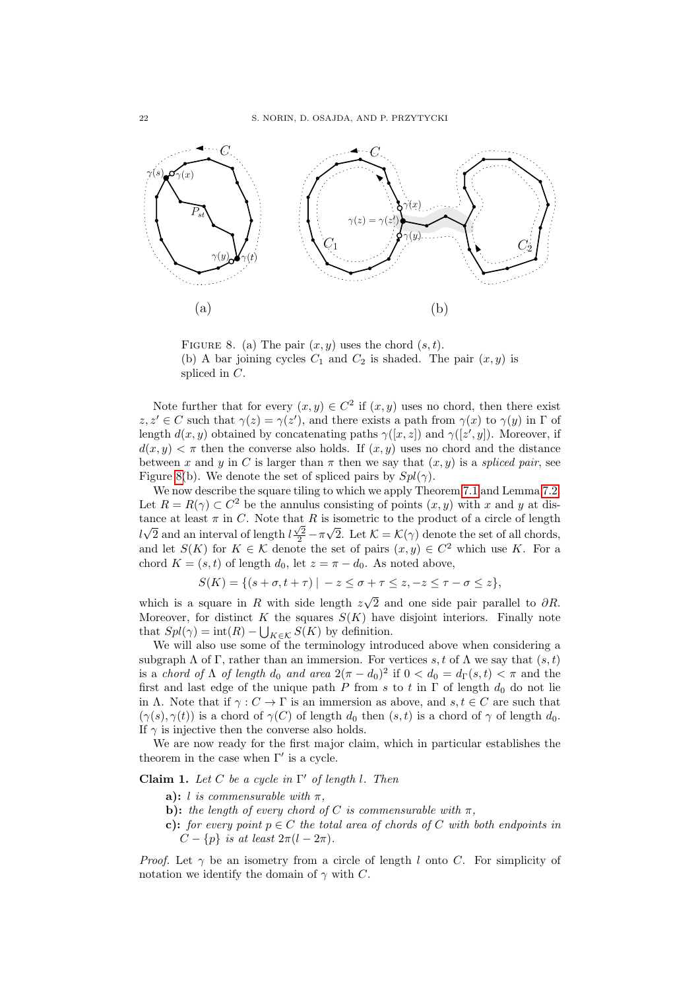

<span id="page-21-1"></span>FIGURE 8. (a) The pair  $(x, y)$  uses the chord  $(s, t)$ . (b) A bar joining cycles  $C_1$  and  $C_2$  is shaded. The pair  $(x, y)$  is spliced in C.

Note further that for every  $(x, y) \in C^2$  if  $(x, y)$  uses no chord, then there exist  $z, z' \in C$  such that  $\gamma(z) = \gamma(z')$ , and there exists a path from  $\gamma(x)$  to  $\gamma(y)$  in  $\Gamma$  of length  $d(x, y)$  obtained by concatenating paths  $\gamma([x, z])$  and  $\gamma([z', y])$ . Moreover, if  $d(x, y) < \pi$  then the converse also holds. If  $(x, y)$  uses no chord and the distance between x and y in C is larger than  $\pi$  then we say that  $(x, y)$  is a *spliced pair*, see Figure [8\(](#page-21-1)b). We denote the set of spliced pairs by  $Spl(\gamma)$ .

We now describe the square tiling to which we apply Theorem [7.1](#page-18-1) and Lemma [7.2.](#page-19-1) Let  $R = R(\gamma) \subset C^2$  be the annulus consisting of points  $(x, y)$  with x and y at distance at least  $\pi$  in C. Note that R is isometric to the product of a circle of length  $l\sqrt{2}$  and an interval of length  $l\frac{\sqrt{2}}{2} - \pi\sqrt{2}$ . Let  $\mathcal{K} = \mathcal{K}(\gamma)$  denote the set of all chords, and let  $S(K)$  for  $K \in \mathcal{K}$  denote the set of pairs  $(x, y) \in C^2$  which use K. For a chord  $K = (s, t)$  of length  $d_0$ , let  $z = \pi - d_0$ . As noted above,

$$
S(K) = \{ (s + \sigma, t + \tau) \mid -z \le \sigma + \tau \le z, -z \le \tau - \sigma \le z \},
$$

which is a square in  $R$  with side length  $z$ 2 and one side pair parallel to  $\partial R$ . Moreover, for distinct K the squares  $S(K)$  have disjoint interiors. Finally note that  $Spl(\gamma)=\operatorname{int}(R)-\bigcup_{K\in\mathcal{K}}S(K)$  by definition.

We will also use some of the terminology introduced above when considering a subgraph  $\Lambda$  of Γ, rather than an immersion. For vertices s, t of  $\Lambda$  we say that  $(s, t)$ is a *chord of*  $\Lambda$  *of length*  $d_0$  *and area*  $2(\pi - d_0)^2$  if  $0 < d_0 = d_{\Gamma}(s, t) < \pi$  and the first and last edge of the unique path P from s to t in  $\Gamma$  of length  $d_0$  do not lie in Λ. Note that if  $\gamma: C \to \Gamma$  is an immersion as above, and  $s, t \in C$  are such that  $(\gamma(s), \gamma(t))$  is a chord of  $\gamma(C)$  of length  $d_0$ , then  $(s, t)$  is a chord of  $\gamma$  of length  $d_0$ . If  $\gamma$  is injective then the converse also holds.

We are now ready for the first major claim, which in particular establishes the theorem in the case when  $\Gamma'$  is a cycle.

<span id="page-21-0"></span>**Claim 1.** *Let* C *be a cycle in* Γ <sup>0</sup> *of length* l*. Then*

- **a**): *l is commensurable with*  $\pi$ ,
- **b):** *the length of every chord of*  $C$  *is commensurable with*  $\pi$ *,*
- **c):** *for every point*  $p \in C$  *the total area of chords of* C *with both endpoints in*  $C - \{p\}$  *is at least*  $2\pi (l - 2\pi)$ *.*

*Proof.* Let  $\gamma$  be an isometry from a circle of length l onto C. For simplicity of notation we identify the domain of  $\gamma$  with C.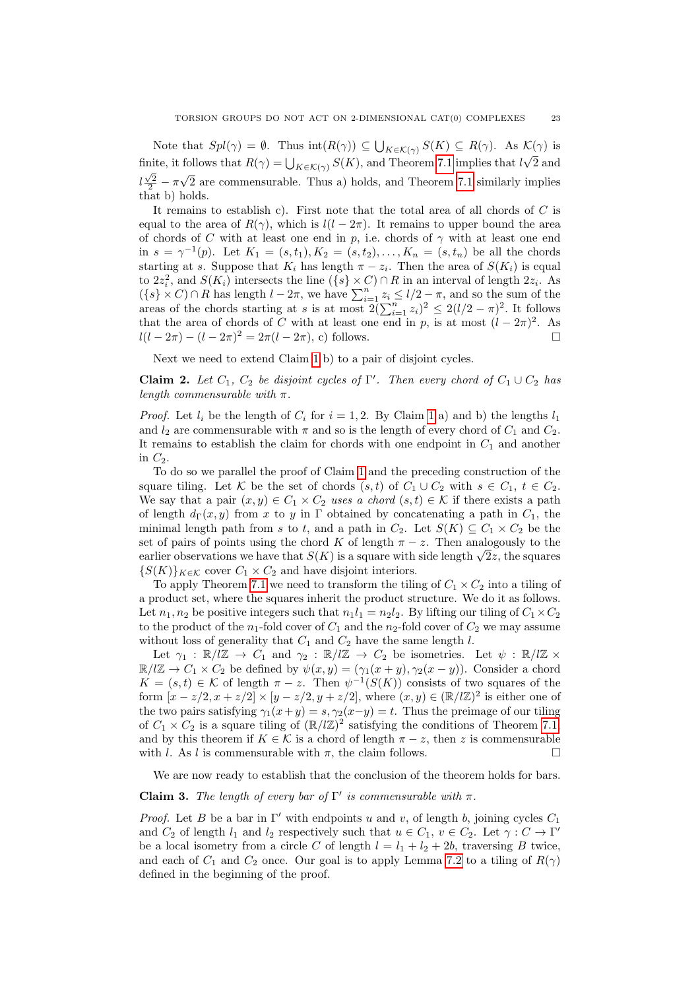Note that  $Spl(\gamma) = \emptyset$ . Thus  $\text{int}(R(\gamma)) \subseteq \bigcup_{K \in \mathcal{K}(\gamma)} S(K) \subseteq R(\gamma)$ . As  $\mathcal{K}(\gamma)$  is finite, it follows that  $R(\gamma) = \bigcup_{K \in \mathcal{K}(\gamma)} S(K)$ , and Theorem [7.1](#page-18-1) implies that  $l\sqrt{2}$  and  $\sum_{K \in \mathcal{K}(\gamma)} S(K)$ , and Theorem 7.1 implies that  $l\sqrt{2}$  $l\frac{\sqrt{2}}{2} - \pi\sqrt{2}$  are commensurable. Thus a) holds, and Theorem [7.1](#page-18-1) similarly implies that b) holds.

It remains to establish c). First note that the total area of all chords of  $C$  is equal to the area of  $R(\gamma)$ , which is  $l(l - 2\pi)$ . It remains to upper bound the area of chords of C with at least one end in p, i.e. chords of  $\gamma$  with at least one end in  $s = \gamma^{-1}(p)$ . Let  $K_1 = (s, t_1), K_2 = (s, t_2), \dots, K_n = (s, t_n)$  be all the chords starting at s. Suppose that  $K_i$  has length  $\pi - z_i$ . Then the area of  $S(K_i)$  is equal to  $2z_i^2$ , and  $S(K_i)$  intersects the line  $({s} \times C) \cap R$  in an interval of length  $2z_i$ . As  $(\{s\} \times C) \cap R$  has length  $l - 2\pi$ , we have  $\sum_{i=1}^{n} z_i \leq l/2 - \pi$ , and so the sum of the areas of the chords starting at s is at most  $2(\sum_{i=1}^n z_i)^2 \le 2(l/2 - \pi)^2$ . It follows that the area of chords of C with at least one end in p, is at most  $(l - 2\pi)^2$ . As  $l(l - 2\pi) - (l - 2\pi)^2 = 2\pi (l - 2\pi)$ , c) follows.

Next we need to extend Claim [1](#page-21-0) b) to a pair of disjoint cycles.

<span id="page-22-1"></span>**Claim 2.** Let  $C_1$ ,  $C_2$  be disjoint cycles of  $\Gamma'$ . Then every chord of  $C_1 \cup C_2$  has *length commensurable with* π*.*

*Proof.* Let  $l_i$  be the length of  $C_i$  for  $i = 1, 2$  $i = 1, 2$  $i = 1, 2$ . By Claim 1 a) and b) the lengths  $l_1$ and  $l_2$  are commensurable with  $\pi$  and so is the length of every chord of  $C_1$  and  $C_2$ . It remains to establish the claim for chords with one endpoint in  $C_1$  and another in  $C_2$ .

To do so we parallel the proof of Claim [1](#page-21-0) and the preceding construction of the square tiling. Let K be the set of chords  $(s, t)$  of  $C_1 \cup C_2$  with  $s \in C_1$ ,  $t \in C_2$ . We say that a pair  $(x, y) \in C_1 \times C_2$  uses a chord  $(s, t) \in \mathcal{K}$  if there exists a path of length  $d_{\Gamma}(x, y)$  from x to y in Γ obtained by concatenating a path in  $C_1$ , the minimal length path from s to t, and a path in  $C_2$ . Let  $S(K) \subseteq C_1 \times C_2$  be the set of pairs of points using the chord K of length  $\pi - z$ . Then analogously to the set or pairs or points using the chord K or length  $\pi - z$ . Then analogously to the earlier observations we have that  $S(K)$  is a square with side length  $\sqrt{2}z$ , the squares  ${S(K)}_{K \in \mathcal{K}}$  cover  $C_1 \times C_2$  and have disjoint interiors.

To apply Theorem [7.1](#page-18-1) we need to transform the tiling of  $C_1 \times C_2$  into a tiling of a product set, where the squares inherit the product structure. We do it as follows. Let  $n_1, n_2$  be positive integers such that  $n_1l_1 = n_2l_2$ . By lifting our tiling of  $C_1 \times C_2$ to the product of the  $n_1$ -fold cover of  $C_1$  and the  $n_2$ -fold cover of  $C_2$  we may assume without loss of generality that  $C_1$  and  $C_2$  have the same length  $l$ .

Let  $\gamma_1 : \mathbb{R}/\mathbb{Z} \to C_1$  and  $\gamma_2 : \mathbb{R}/\mathbb{Z} \to C_2$  be isometries. Let  $\psi : \mathbb{R}/\mathbb{Z} \times$  $\mathbb{R}/\mathbb{Z} \to C_1 \times C_2$  be defined by  $\psi(x, y) = (\gamma_1(x + y), \gamma_2(x - y))$ . Consider a chord  $K = (s,t) \in \mathcal{K}$  of length  $\pi - z$ . Then  $\psi^{-1}(S(K))$  consists of two squares of the form  $[x-z/2, x+z/2] \times [y-z/2, y+z/2]$ , where  $(x, y) \in (\mathbb{R}/\mathbb{Z})^2$  is either one of the two pairs satisfying  $\gamma_1(x+y) = s, \gamma_2(x-y) = t$ . Thus the preimage of our tiling of  $C_1 \times C_2$  is a square tiling of  $(\mathbb{R}/l\mathbb{Z})^2$  satisfying the conditions of Theorem [7.1,](#page-18-1) and by this theorem if  $K \in \mathcal{K}$  is a chord of length  $\pi - z$ , then z is commensurable with l. As l is commensurable with  $\pi$ , the claim follows.

We are now ready to establish that the conclusion of the theorem holds for bars.

# <span id="page-22-0"></span>**Claim 3.** *The length of every bar of*  $\Gamma'$  *is commensurable with*  $\pi$ *.*

*Proof.* Let B be a bar in  $\Gamma'$  with endpoints u and v, of length b, joining cycles  $C_1$ and  $C_2$  of length  $l_1$  and  $l_2$  respectively such that  $u \in C_1$ ,  $v \in C_2$ . Let  $\gamma : C \to \Gamma'$ be a local isometry from a circle C of length  $l = l_1 + l_2 + 2b$ , traversing B twice, and each of  $C_1$  and  $C_2$  once. Our goal is to apply Lemma [7.2](#page-19-1) to a tiling of  $R(\gamma)$ defined in the beginning of the proof.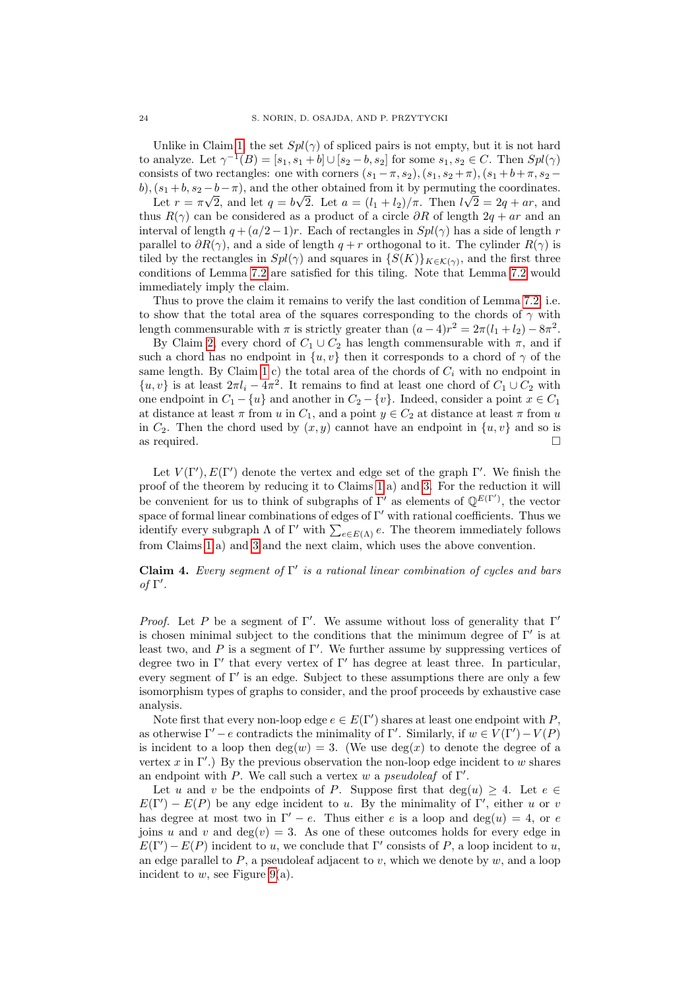Unlike in Claim [1,](#page-21-0) the set  $Spl(\gamma)$  of spliced pairs is not empty, but it is not hard to analyze. Let  $\gamma^{-1}(B) = [s_1, s_1 + b] \cup [s_2 - b, s_2]$  for some  $s_1, s_2 \in C$ . Then  $Spl(\gamma)$ consists of two rectangles: one with corners  $(s_1 - \pi, s_2), (s_1, s_2 + \pi), (s_1 + b + \pi, s_2 - \pi)$ b),  $(s_1 + b, s_2 - b - \pi)$ , and the other obtained from it by permuting the coordinates.

Let  $r = \pi \sqrt{2}$ , and let  $q = b\sqrt{2}$ . Let  $a = (l_1 + l_2)/\pi$ . Then  $l\sqrt{2} = 2q + ar$ , and thus  $R(\gamma)$  can be considered as a product of a circle  $\partial R$  of length  $2q + ar$  and an interval of length  $q + (a/2 - 1)r$ . Each of rectangles in  $Spl(\gamma)$  has a side of length r parallel to  $\partial R(\gamma)$ , and a side of length  $q + r$  orthogonal to it. The cylinder  $R(\gamma)$  is tiled by the rectangles in  $Spl(\gamma)$  and squares in  $\{S(K)\}_{K\in\mathcal{K}(\gamma)}$ , and the first three conditions of Lemma [7.2](#page-19-1) are satisfied for this tiling. Note that Lemma [7.2](#page-19-1) would immediately imply the claim.

Thus to prove the claim it remains to verify the last condition of Lemma [7.2,](#page-19-1) i.e. to show that the total area of the squares corresponding to the chords of  $\gamma$  with length commensurable with  $\pi$  is strictly greater than  $(a-4)r^2 = 2\pi(l_1 + l_2) - 8\pi^2$ .

By Claim [2,](#page-22-1) every chord of  $C_1 \cup C_2$  has length commensurable with  $\pi$ , and if such a chord has no endpoint in  $\{u, v\}$  then it corresponds to a chord of  $\gamma$  of the same length. By Claim [1](#page-21-0) c) the total area of the chords of  $C_i$  with no endpoint in  $\{u, v\}$  is at least  $2\pi l_i - 4\pi^2$ . It remains to find at least one chord of  $C_1 \cup C_2$  with one endpoint in  $C_1 - \{u\}$  and another in  $C_2 - \{v\}$ . Indeed, consider a point  $x \in C_1$ at distance at least  $\pi$  from u in  $C_1$ , and a point  $y \in C_2$  at distance at least  $\pi$  from u in  $C_2$ . Then the chord used by  $(x, y)$  cannot have an endpoint in  $\{u, v\}$  and so is as required.  $\square$ 

Let  $V(\Gamma'), E(\Gamma')$  denote the vertex and edge set of the graph  $\Gamma'$ . We finish the proof of the theorem by reducing it to Claims [1](#page-21-0) a) and [3.](#page-22-0) For the reduction it will be convenient for us to think of subgraphs of  $\Gamma'$  as elements of  $\mathbb{Q}^{E(\Gamma')}$ , the vector space of formal linear combinations of edges of  $\Gamma'$  with rational coefficients. Thus we identify every subgraph  $\Lambda$  of  $\Gamma'$  with  $\sum_{e \in E(\Lambda)} e$ . The theorem immediately follows from Claims [1](#page-21-0) a) and [3](#page-22-0) and the next claim, which uses the above convention.

<span id="page-23-0"></span>**Claim 4.** *Every segment of* Γ 0 *is a rational linear combination of cycles and bars of* Γ 0 *.*

*Proof.* Let P be a segment of Γ'. We assume without loss of generality that  $\Gamma'$ is chosen minimal subject to the conditions that the minimum degree of  $\Gamma'$  is at least two, and P is a segment of  $\Gamma'$ . We further assume by suppressing vertices of degree two in  $\Gamma'$  that every vertex of  $\Gamma'$  has degree at least three. In particular, every segment of  $\Gamma'$  is an edge. Subject to these assumptions there are only a few isomorphism types of graphs to consider, and the proof proceeds by exhaustive case analysis.

Note first that every non-loop edge  $e \in E(\Gamma')$  shares at least one endpoint with P, as otherwise  $\Gamma' - e$  contradicts the minimality of  $\Gamma'$ . Similarly, if  $w \in V(\Gamma') - V(P)$ is incident to a loop then  $deg(w) = 3$ . (We use  $deg(x)$  to denote the degree of a vertex x in  $\Gamma'$ .) By the previous observation the non-loop edge incident to w shares an endpoint with P. We call such a vertex w a *pseudoleaf* of  $\Gamma'$ .

Let u and v be the endpoints of P. Suppose first that  $deg(u) \geq 4$ . Let  $e \in$  $E(\Gamma') - E(P)$  be any edge incident to u. By the minimality of  $\Gamma'$ , either u or v has degree at most two in  $\Gamma' - e$ . Thus either e is a loop and deg(u) = 4, or e joins u and v and  $\deg(v) = 3$ . As one of these outcomes holds for every edge in  $E(\Gamma') - E(P)$  incident to u, we conclude that  $\Gamma'$  consists of P, a loop incident to u, an edge parallel to  $P$ , a pseudoleaf adjacent to v, which we denote by  $w$ , and a loop incident to  $w$ , see Figure [9\(](#page-24-0)a).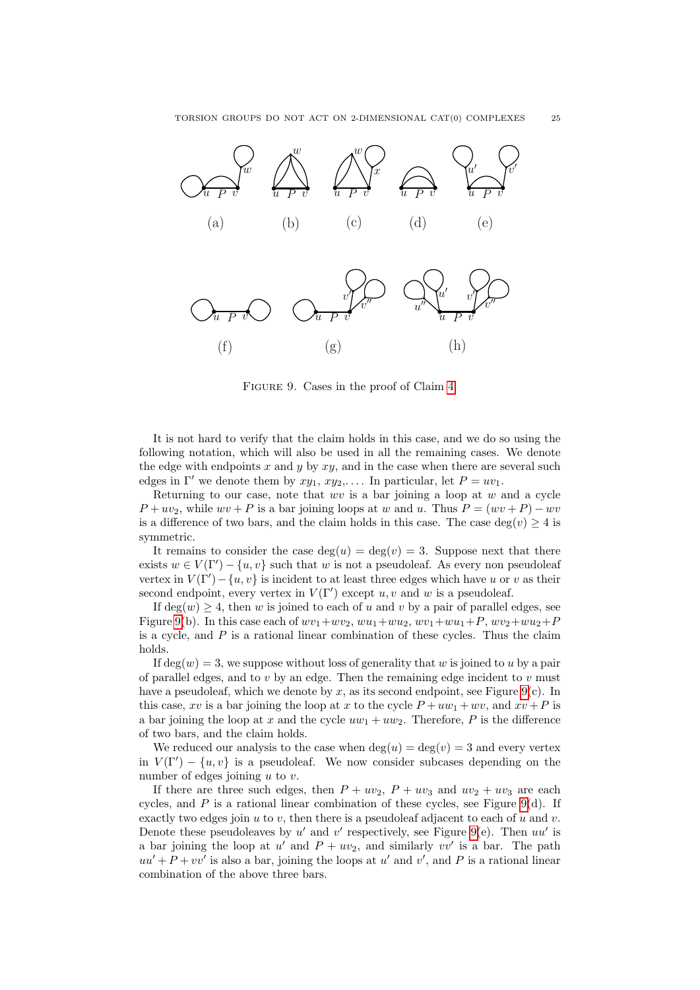

<span id="page-24-0"></span>Figure 9. Cases in the proof of Claim [4.](#page-23-0)

It is not hard to verify that the claim holds in this case, and we do so using the following notation, which will also be used in all the remaining cases. We denote the edge with endpoints  $x$  and  $y$  by  $xy$ , and in the case when there are several such edges in  $\Gamma'$  we denote them by  $xy_1, xy_2,...$  In particular, let  $P = uv_1$ .

Returning to our case, note that  $wv$  is a bar joining a loop at  $w$  and a cycle  $P + uv_2$ , while  $wv + P$  is a bar joining loops at w and u. Thus  $P = (wv + P) - wv$ is a difference of two bars, and the claim holds in this case. The case  $deg(v) \geq 4$  is symmetric.

It remains to consider the case  $\deg(u) = \deg(v) = 3$ . Suppose next that there exists  $w \in V(\Gamma') - \{u, v\}$  such that w is not a pseudoleaf. As every non pseudoleaf vertex in  $V(\Gamma') - \{u, v\}$  is incident to at least three edges which have u or v as their second endpoint, every vertex in  $V(\Gamma')$  except u, v and w is a pseudoleaf.

If  $\deg(w) \geq 4$ , then w is joined to each of u and v by a pair of parallel edges, see Figure [9\(](#page-24-0)b). In this case each of  $wv_1+ wv_2, wu_1+ wu_2, wv_1+ wu_1+P, wv_2+ wu_2+P$ is a cycle, and  $P$  is a rational linear combination of these cycles. Thus the claim holds.

If  $\deg(w) = 3$ , we suppose without loss of generality that w is joined to u by a pair of parallel edges, and to  $v$  by an edge. Then the remaining edge incident to  $v$  must have a pseudoleaf, which we denote by x, as its second endpoint, see Figure [9\(](#page-24-0)c). In this case, xv is a bar joining the loop at x to the cycle  $P + uw_1 + wv$ , and  $xv + P$  is a bar joining the loop at x and the cycle  $uw_1 + uw_2$ . Therefore, P is the difference of two bars, and the claim holds.

We reduced our analysis to the case when  $\deg(u) = \deg(v) = 3$  and every vertex in  $V(\Gamma') - \{u, v\}$  is a pseudoleaf. We now consider subcases depending on the number of edges joining  $u$  to  $v$ .

If there are three such edges, then  $P + uv_2$ ,  $P + uv_3$  and  $uv_2 + uv_3$  are each cycles, and  $P$  is a rational linear combination of these cycles, see Figure [9\(](#page-24-0)d). If exactly two edges join u to v, then there is a pseudoleaf adjacent to each of u and v. Denote these pseudoleaves by  $u'$  and  $v'$  respectively, see Figure [9\(](#page-24-0)e). Then  $uu'$  is a bar joining the loop at  $u'$  and  $P + uv_2$ , and similarly  $vv'$  is a bar. The path  $uu' + P + vv'$  is also a bar, joining the loops at u' and v', and P is a rational linear combination of the above three bars.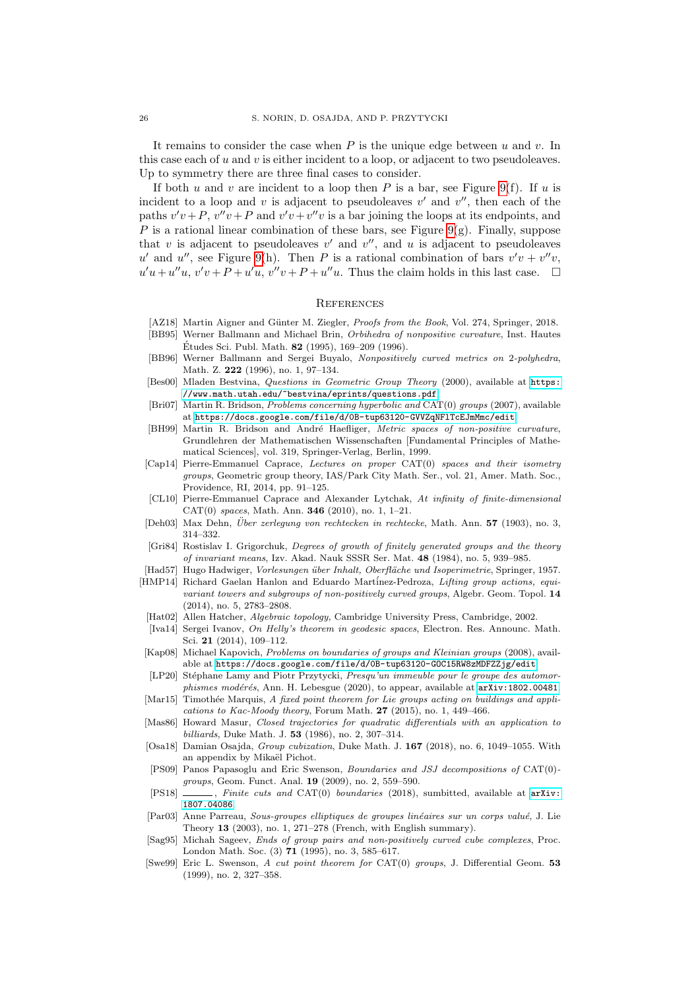It remains to consider the case when  $P$  is the unique edge between  $u$  and  $v$ . In this case each of  $u$  and  $v$  is either incident to a loop, or adjacent to two pseudoleaves. Up to symmetry there are three final cases to consider.

If both u and v are incident to a loop then P is a bar, see Figure [9\(](#page-24-0)f). If u is incident to a loop and v is adjacent to pseudoleaves  $v'$  and  $v''$ , then each of the paths  $v'v + P$ ,  $v''v + P$  and  $v'v + v''v$  is a bar joining the loops at its endpoints, and P is a rational linear combination of these bars, see Figure [9\(](#page-24-0)g). Finally, suppose that  $v$  is adjacent to pseudoleaves  $v'$  and  $v''$ , and  $u$  is adjacent to pseudoleaves u' and u'', see Figure [9\(](#page-24-0)h). Then P is a rational combination of bars  $v'v + v''v$ ,  $u'u + u''u, v'v + P + u'u, v''v + P + u''u$ . Thus the claim holds in this last case.  $\square$ 

### **REFERENCES**

- <span id="page-25-23"></span>[AZ18] Martin Aigner and Günter M. Ziegler, *Proofs from the Book*, Vol. 274, Springer, 2018.
- <span id="page-25-0"></span>[BB95] Werner Ballmann and Michael Brin, *Orbihedra of nonpositive curvature*, Inst. Hautes Études Sci. Publ. Math. **82** (1995), 169–209 (1996).
- <span id="page-25-19"></span>[BB96] Werner Ballmann and Sergei Buyalo, *Nonpositively curved metrics on* 2*-polyhedra*, Math. Z. **222** (1996), no. 1, 97–134.
- <span id="page-25-2"></span>[Bes00] Mladen Bestvina, *Questions in Geometric Group Theory* (2000), available at [https:](https://www.math.utah.edu/~bestvina/eprints/questions.pdf) [//www.math.utah.edu/~bestvina/eprints/questions.pdf](https://www.math.utah.edu/~bestvina/eprints/questions.pdf).
- <span id="page-25-3"></span>[Bri07] Martin R. Bridson, *Problems concerning hyperbolic and* CAT(0) *groups* (2007), available at <https://docs.google.com/file/d/0B-tup63120-GVVZqNFlTcEJmMmc/edit>.
- <span id="page-25-9"></span>[BH99] Martin R. Bridson and André Haefliger, *Metric spaces of non-positive curvature*, Grundlehren der Mathematischen Wissenschaften [Fundamental Principles of Mathematical Sciences], vol. 319, Springer-Verlag, Berlin, 1999.
- <span id="page-25-5"></span>[Cap14] Pierre-Emmanuel Caprace, *Lectures on proper* CAT(0) *spaces and their isometry groups*, Geometric group theory, IAS/Park City Math. Ser., vol. 21, Amer. Math. Soc., Providence, RI, 2014, pp. 91–125.
- <span id="page-25-16"></span>[CL10] Pierre-Emmanuel Caprace and Alexander Lytchak, *At infinity of finite-dimensional* CAT(0) *spaces*, Math. Ann. **346** (2010), no. 1, 1–21.
- <span id="page-25-18"></span>[Deh03] Max Dehn, *Über zerlegung von rechtecken in rechtecke*, Math. Ann. **57** (1903), no. 3, 314–332.
- <span id="page-25-12"></span>[Gri84] Rostislav I. Grigorchuk, *Degrees of growth of finitely generated groups and the theory of invariant means*, Izv. Akad. Nauk SSSR Ser. Mat. **48** (1984), no. 5, 939–985.
- <span id="page-25-22"></span>[Had57] Hugo Hadwiger, *Vorlesungen über Inhalt, Oberfläche und Isoperimetrie*, Springer, 1957.
- <span id="page-25-8"></span>[HMP14] Richard Gaelan Hanlon and Eduardo Mart´inez-Pedroza, *Lifting group actions, equivariant towers and subgroups of non-positively curved groups*, Algebr. Geom. Topol. **14** (2014), no. 5, 2783–2808.
- <span id="page-25-20"></span>[Hat02] Allen Hatcher, *Algebraic topology*, Cambridge University Press, Cambridge, 2002.
- <span id="page-25-21"></span>[Iva14] Sergei Ivanov, *On Helly's theorem in geodesic spaces*, Electron. Res. Announc. Math. Sci. **21** (2014), 109–112.
- <span id="page-25-4"></span>[Kap08] Michael Kapovich, *Problems on boundaries of groups and Kleinian groups* (2008), available at <https://docs.google.com/file/d/0B-tup63120-GOC15RW8zMDFZZjg/edit>.
- <span id="page-25-14"></span>[LP20] Stéphane Lamy and Piotr Przytycki, *Presqu'un immeuble pour le groupe des automorphismes modérés*, Ann. H. Lebesgue (2020), to appear, available at  $arXiv:1802.00481$ .
- <span id="page-25-10"></span>[Mar15] Timothée Marquis, *A fixed point theorem for Lie groups acting on buildings and applications to Kac-Moody theory*, Forum Math. **27** (2015), no. 1, 449–466.
- <span id="page-25-15"></span>[Mas86] Howard Masur, *Closed trajectories for quadratic differentials with an application to billiards*, Duke Math. J. **53** (1986), no. 2, 307–314.
- <span id="page-25-13"></span>[Osa18] Damian Osajda, *Group cubization*, Duke Math. J. **167** (2018), no. 6, 1049–1055. With an appendix by Mikaël Pichot.
- <span id="page-25-6"></span>[PS09] Panos Papasoglu and Eric Swenson, *Boundaries and JSJ decompositions of* CAT(0) *groups*, Geom. Funct. Anal. **19** (2009), no. 2, 559–590.
- <span id="page-25-7"></span>[PS18] , *Finite cuts and* CAT(0) *boundaries* (2018), sumbitted, available at [arXiv:](arXiv:1807.04086) [1807.04086](arXiv:1807.04086).
- <span id="page-25-11"></span>[Par03] Anne Parreau, *Sous-groupes elliptiques de groupes linéaires sur un corps valué*, J. Lie Theory **13** (2003), no. 1, 271–278 (French, with English summary).
- <span id="page-25-17"></span>[Sag95] Michah Sageev, *Ends of group pairs and non-positively curved cube complexes*, Proc. London Math. Soc. (3) **71** (1995), no. 3, 585–617.
- <span id="page-25-1"></span>[Swe99] Eric L. Swenson, *A cut point theorem for* CAT(0) *groups*, J. Differential Geom. **53** (1999), no. 2, 327–358.